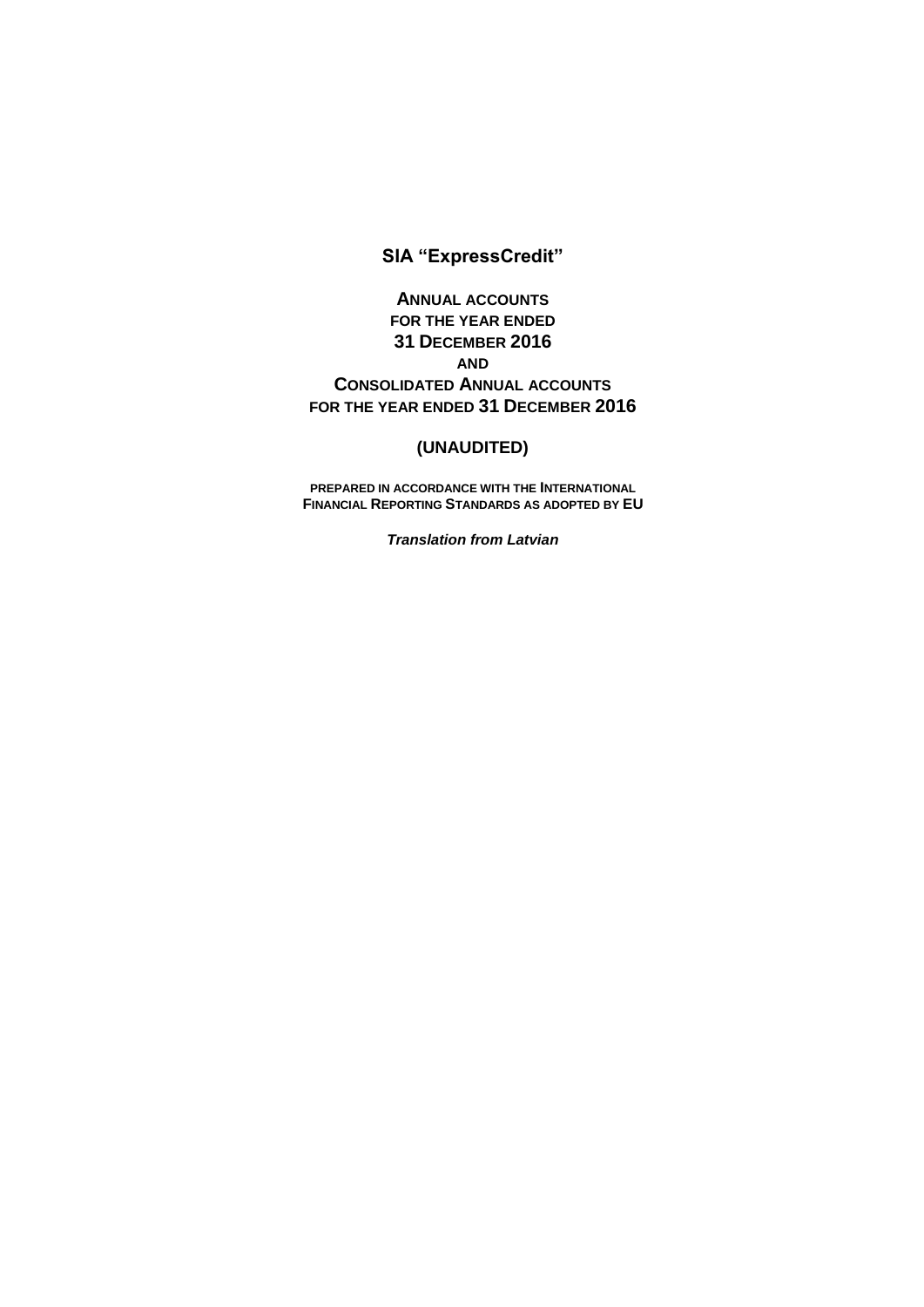# **SIA "ExpressCredit"**

**ANNUAL ACCOUNTS FOR THE YEAR ENDED 31 DECEMBER 2016 AND CONSOLIDATED ANNUAL ACCOUNTS FOR THE YEAR ENDED 31 DECEMBER 2016**

# **(UNAUDITED)**

**PREPARED IN ACCORDANCE WITH THE INTERNATIONAL FINANCIAL REPORTING STANDARDS AS ADOPTED BY EU**

*Translation from Latvian*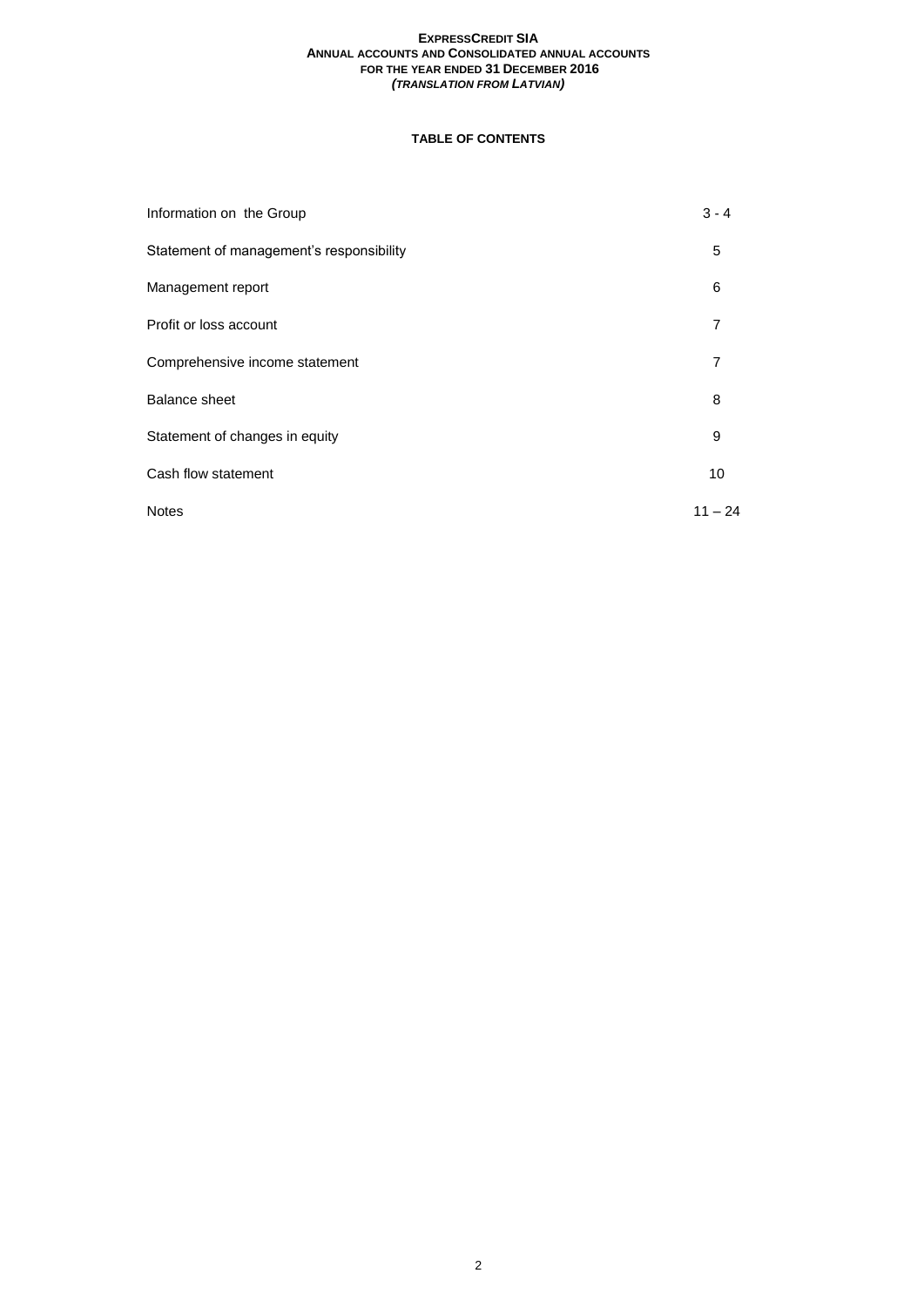# **TABLE OF CONTENTS**

| Information on the Group                 | $3 - 4$   |
|------------------------------------------|-----------|
| Statement of management's responsibility | 5         |
| Management report                        | 6         |
| Profit or loss account                   | 7         |
| Comprehensive income statement           | 7         |
| <b>Balance sheet</b>                     | 8         |
| Statement of changes in equity           | 9         |
| Cash flow statement                      | 10        |
| <b>Notes</b>                             | $11 - 24$ |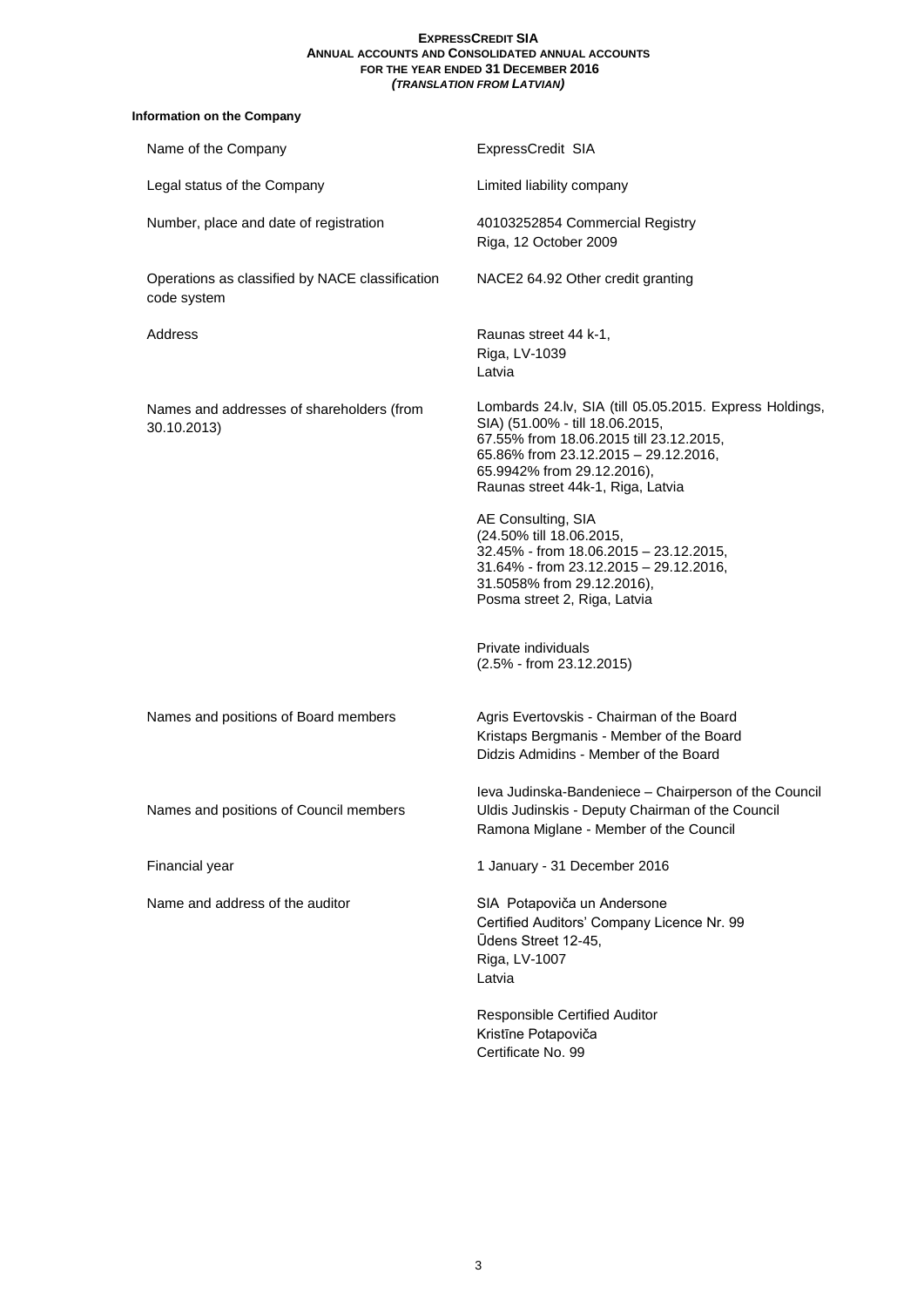# **Information on the Company**

| Name of the Company                                            | ExpressCredit SIA                                                                                                                                                                                                                                |
|----------------------------------------------------------------|--------------------------------------------------------------------------------------------------------------------------------------------------------------------------------------------------------------------------------------------------|
| Legal status of the Company                                    | Limited liability company                                                                                                                                                                                                                        |
| Number, place and date of registration                         | 40103252854 Commercial Registry<br>Riga, 12 October 2009                                                                                                                                                                                         |
| Operations as classified by NACE classification<br>code system | NACE2 64.92 Other credit granting                                                                                                                                                                                                                |
| Address                                                        | Raunas street 44 k-1,<br>Riga, LV-1039<br>Latvia                                                                                                                                                                                                 |
| Names and addresses of shareholders (from<br>30.10.2013)       | Lombards 24.lv, SIA (till 05.05.2015. Express Holdings,<br>SIA) (51.00% - till 18.06.2015,<br>67.55% from 18.06.2015 till 23.12.2015,<br>65.86% from 23.12.2015 - 29.12.2016,<br>65.9942% from 29.12.2016),<br>Raunas street 44k-1, Riga, Latvia |
|                                                                | AE Consulting, SIA<br>(24.50% till 18.06.2015,<br>32.45% - from 18.06.2015 - 23.12.2015,<br>31.64% - from 23.12.2015 - 29.12.2016,<br>31.5058% from 29.12.2016),<br>Posma street 2, Riga, Latvia                                                 |
|                                                                | Private individuals<br>$(2.5\% - from 23.12.2015)$                                                                                                                                                                                               |
| Names and positions of Board members                           | Agris Evertovskis - Chairman of the Board<br>Kristaps Bergmanis - Member of the Board<br>Didzis Admidins - Member of the Board                                                                                                                   |
| Names and positions of Council members                         | leva Judinska-Bandeniece – Chairperson of the Council<br>Uldis Judinskis - Deputy Chairman of the Council<br>Ramona Miglane - Member of the Council                                                                                              |
| Financial year                                                 | 1 January - 31 December 2016                                                                                                                                                                                                                     |
| Name and address of the auditor                                | SIA Potapoviča un Andersone<br>Certified Auditors' Company Licence Nr. 99<br>Ūdens Street 12-45,<br>Riga, LV-1007<br>Latvia                                                                                                                      |
|                                                                | Responsible Certified Auditor<br>Kristīne Potapoviča<br>Certificate No. 99                                                                                                                                                                       |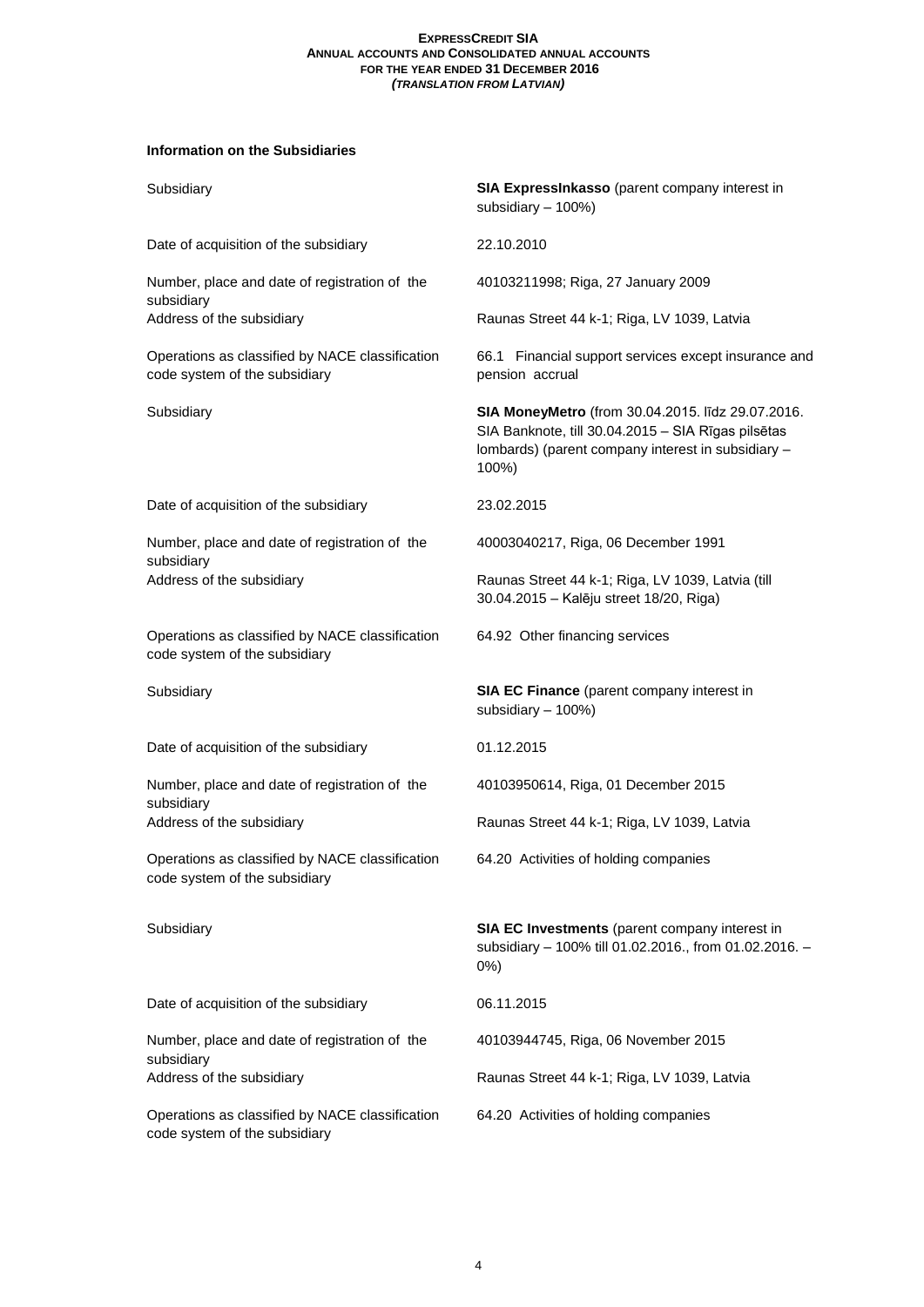# **Information on the Subsidiaries**

| Subsidiary                                                                       | SIA ExpressInkasso (parent company interest in<br>subsidiary - 100%)                                                                                                   |
|----------------------------------------------------------------------------------|------------------------------------------------------------------------------------------------------------------------------------------------------------------------|
| Date of acquisition of the subsidiary                                            | 22.10.2010                                                                                                                                                             |
| Number, place and date of registration of the<br>subsidiary                      | 40103211998; Riga, 27 January 2009                                                                                                                                     |
| Address of the subsidiary                                                        | Raunas Street 44 k-1; Riga, LV 1039, Latvia                                                                                                                            |
| Operations as classified by NACE classification<br>code system of the subsidiary | 66.1 Financial support services except insurance and<br>pension accrual                                                                                                |
| Subsidiary                                                                       | SIA MoneyMetro (from 30.04.2015. līdz 29.07.2016.<br>SIA Banknote, till 30.04.2015 - SIA Rīgas pilsētas<br>Iombards) (parent company interest in subsidiary -<br>100%) |
| Date of acquisition of the subsidiary                                            | 23.02.2015                                                                                                                                                             |
| Number, place and date of registration of the<br>subsidiary                      | 40003040217, Riga, 06 December 1991                                                                                                                                    |
| Address of the subsidiary                                                        | Raunas Street 44 k-1; Riga, LV 1039, Latvia (till<br>30.04.2015 - Kalēju street 18/20, Riga)                                                                           |
| Operations as classified by NACE classification<br>code system of the subsidiary | 64.92 Other financing services                                                                                                                                         |
| Subsidiary                                                                       | SIA EC Finance (parent company interest in<br>subsidiary - 100%)                                                                                                       |
| Date of acquisition of the subsidiary                                            | 01.12.2015                                                                                                                                                             |
| Number, place and date of registration of the<br>subsidiary                      | 40103950614, Riga, 01 December 2015                                                                                                                                    |
| Address of the subsidiary                                                        | Raunas Street 44 k-1; Riga, LV 1039, Latvia                                                                                                                            |
| Operations as classified by NACE classification<br>code system of the subsidiary | 64.20 Activities of holding companies                                                                                                                                  |
| Subsidiary                                                                       | SIA EC Investments (parent company interest in<br>subsidiary - 100% till 01.02.2016., from 01.02.2016. -<br>$0\%$ )                                                    |
| Date of acquisition of the subsidiary                                            | 06.11.2015                                                                                                                                                             |
| Number, place and date of registration of the<br>subsidiary                      | 40103944745, Riga, 06 November 2015                                                                                                                                    |
| Address of the subsidiary                                                        | Raunas Street 44 k-1; Riga, LV 1039, Latvia                                                                                                                            |
| Operations as classified by NACE classification<br>code system of the subsidiary | 64.20 Activities of holding companies                                                                                                                                  |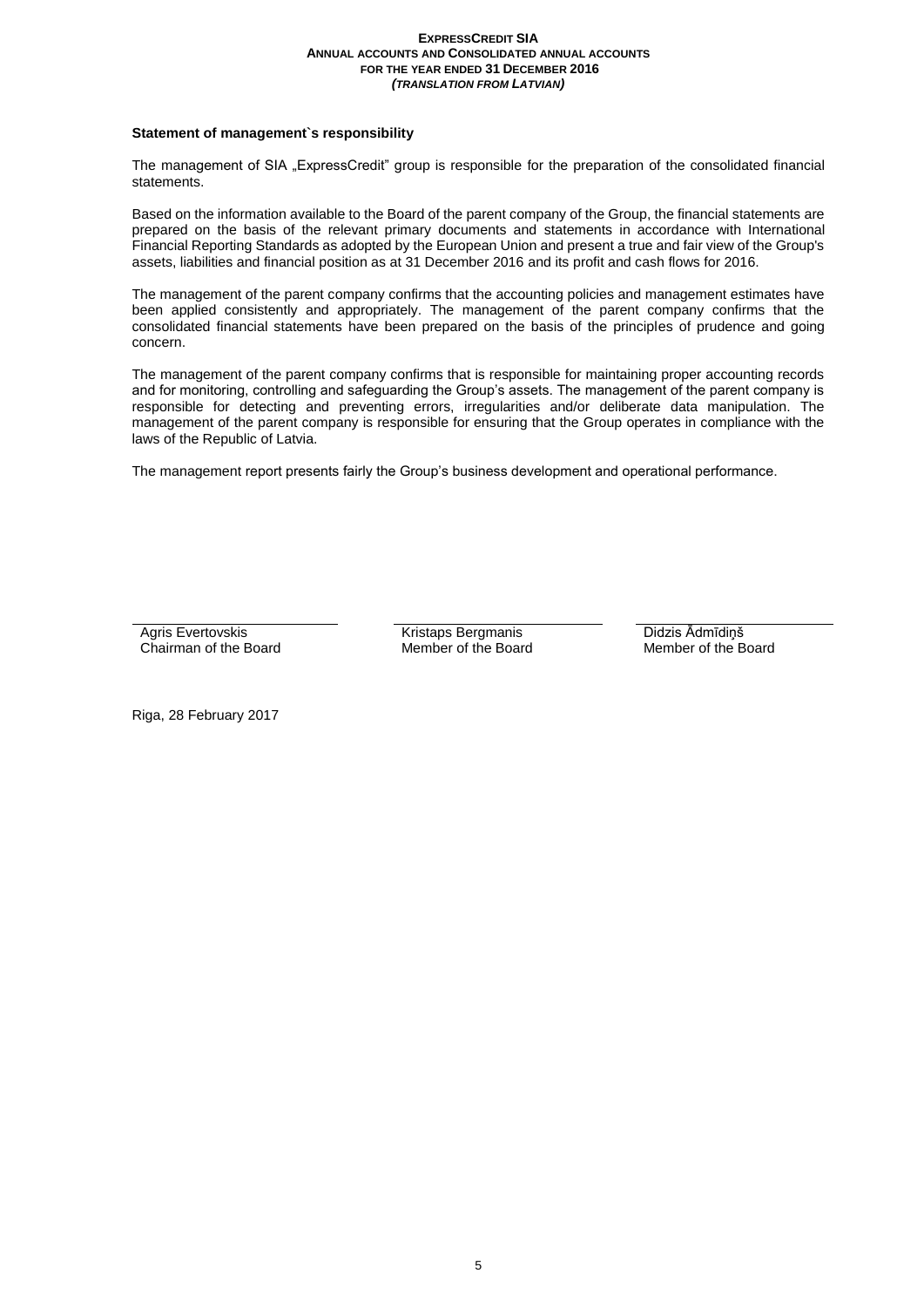# **Statement of management`s responsibility**

The management of SIA "ExpressCredit" group is responsible for the preparation of the consolidated financial statements.

Based on the information available to the Board of the parent company of the Group, the financial statements are prepared on the basis of the relevant primary documents and statements in accordance with International Financial Reporting Standards as adopted by the European Union and present a true and fair view of the Group's assets, liabilities and financial position as at 31 December 2016 and its profit and cash flows for 2016.

The management of the parent company confirms that the accounting policies and management estimates have been applied consistently and appropriately. The management of the parent company confirms that the consolidated financial statements have been prepared on the basis of the principles of prudence and going concern.

The management of the parent company confirms that is responsible for maintaining proper accounting records and for monitoring, controlling and safeguarding the Group's assets. The management of the parent company is responsible for detecting and preventing errors, irregularities and/or deliberate data manipulation. The management of the parent company is responsible for ensuring that the Group operates in compliance with the laws of the Republic of Latvia.

The management report presents fairly the Group's business development and operational performance.

Agris Evertovskis Chairman of the Board

Kristaps Bergmanis Member of the Board Didzis Ādmīdiņš Member of the Board

Riga, 28 February 2017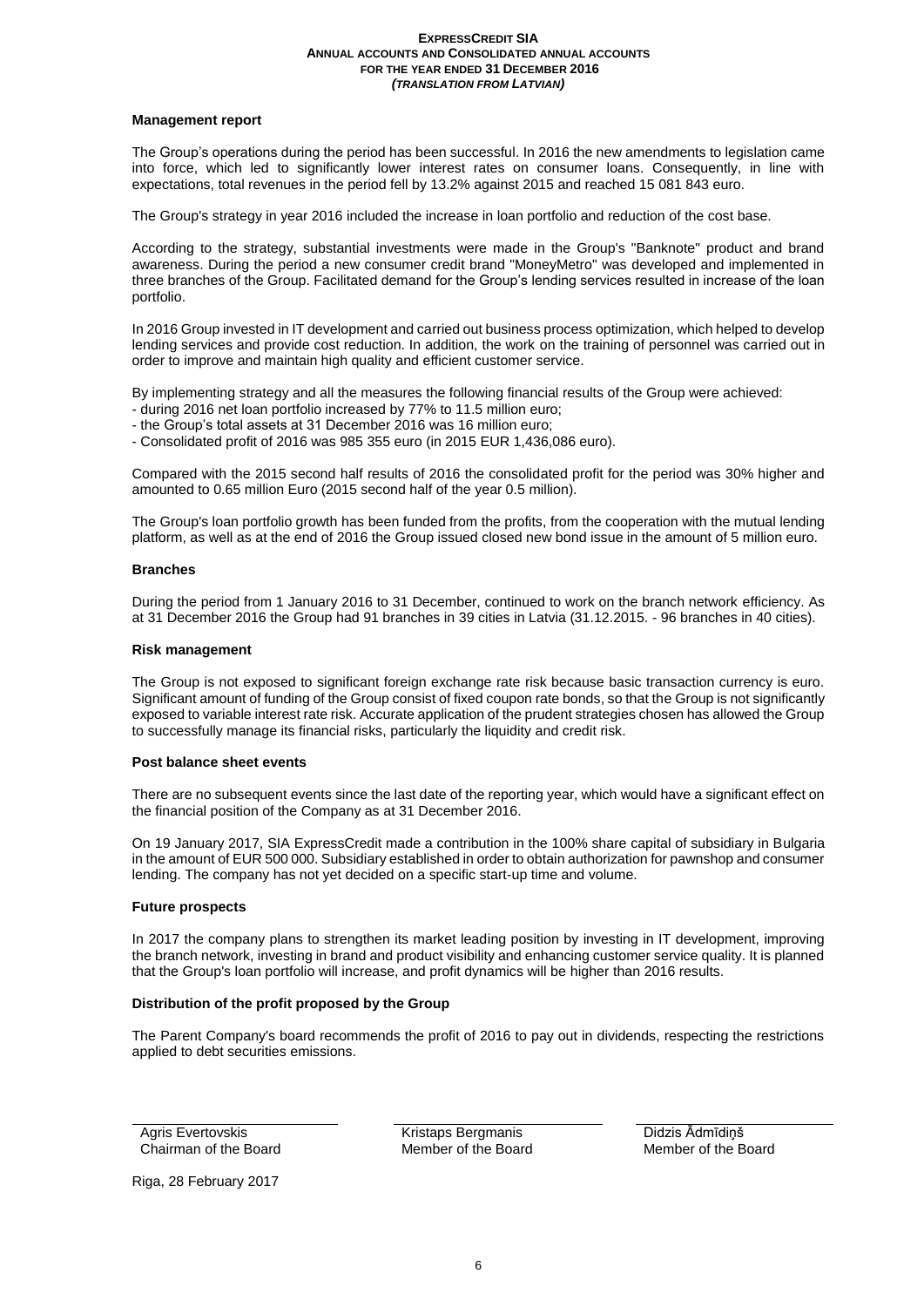# **Management report**

The Group's operations during the period has been successful. In 2016 the new amendments to legislation came into force, which led to significantly lower interest rates on consumer loans. Consequently, in line with expectations, total revenues in the period fell by 13.2% against 2015 and reached 15 081 843 euro.

The Group's strategy in year 2016 included the increase in loan portfolio and reduction of the cost base.

According to the strategy, substantial investments were made in the Group's "Banknote" product and brand awareness. During the period a new consumer credit brand "MoneyMetro" was developed and implemented in three branches of the Group. Facilitated demand for the Group's lending services resulted in increase of the loan portfolio.

In 2016 Group invested in IT development and carried out business process optimization, which helped to develop lending services and provide cost reduction. In addition, the work on the training of personnel was carried out in order to improve and maintain high quality and efficient customer service.

By implementing strategy and all the measures the following financial results of the Group were achieved:

- during 2016 net loan portfolio increased by 77% to 11.5 million euro;
- the Group's total assets at 31 December 2016 was 16 million euro;

- Consolidated profit of 2016 was 985 355 euro (in 2015 EUR 1,436,086 euro).

Compared with the 2015 second half results of 2016 the consolidated profit for the period was 30% higher and amounted to 0.65 million Euro (2015 second half of the year 0.5 million).

The Group's loan portfolio growth has been funded from the profits, from the cooperation with the mutual lending platform, as well as at the end of 2016 the Group issued closed new bond issue in the amount of 5 million euro.

#### **Branches**

During the period from 1 January 2016 to 31 December, continued to work on the branch network efficiency. As at 31 December 2016 the Group had 91 branches in 39 cities in Latvia (31.12.2015. - 96 branches in 40 cities).

#### **Risk management**

The Group is not exposed to significant foreign exchange rate risk because basic transaction currency is euro. Significant amount of funding of the Group consist of fixed coupon rate bonds, so that the Group is not significantly exposed to variable interest rate risk. Accurate application of the prudent strategies chosen has allowed the Group to successfully manage its financial risks, particularly the liquidity and credit risk.

### **Post balance sheet events**

There are no subsequent events since the last date of the reporting year, which would have a significant effect on the financial position of the Company as at 31 December 2016.

On 19 January 2017, SIA ExpressCredit made a contribution in the 100% share capital of subsidiary in Bulgaria in the amount of EUR 500 000. Subsidiary established in order to obtain authorization for pawnshop and consumer lending. The company has not yet decided on a specific start-up time and volume.

# **Future prospects**

In 2017 the company plans to strengthen its market leading position by investing in IT development, improving the branch network, investing in brand and product visibility and enhancing customer service quality. It is planned that the Group's loan portfolio will increase, and profit dynamics will be higher than 2016 results.

# **Distribution of the profit proposed by the Group**

The Parent Company's board recommends the profit of 2016 to pay out in dividends, respecting the restrictions applied to debt securities emissions.

Agris Evertovskis Chairman of the Board Kristaps Bergmanis Member of the Board Didzis Ādmīdiņš Member of the Board

Riga, 28 February 2017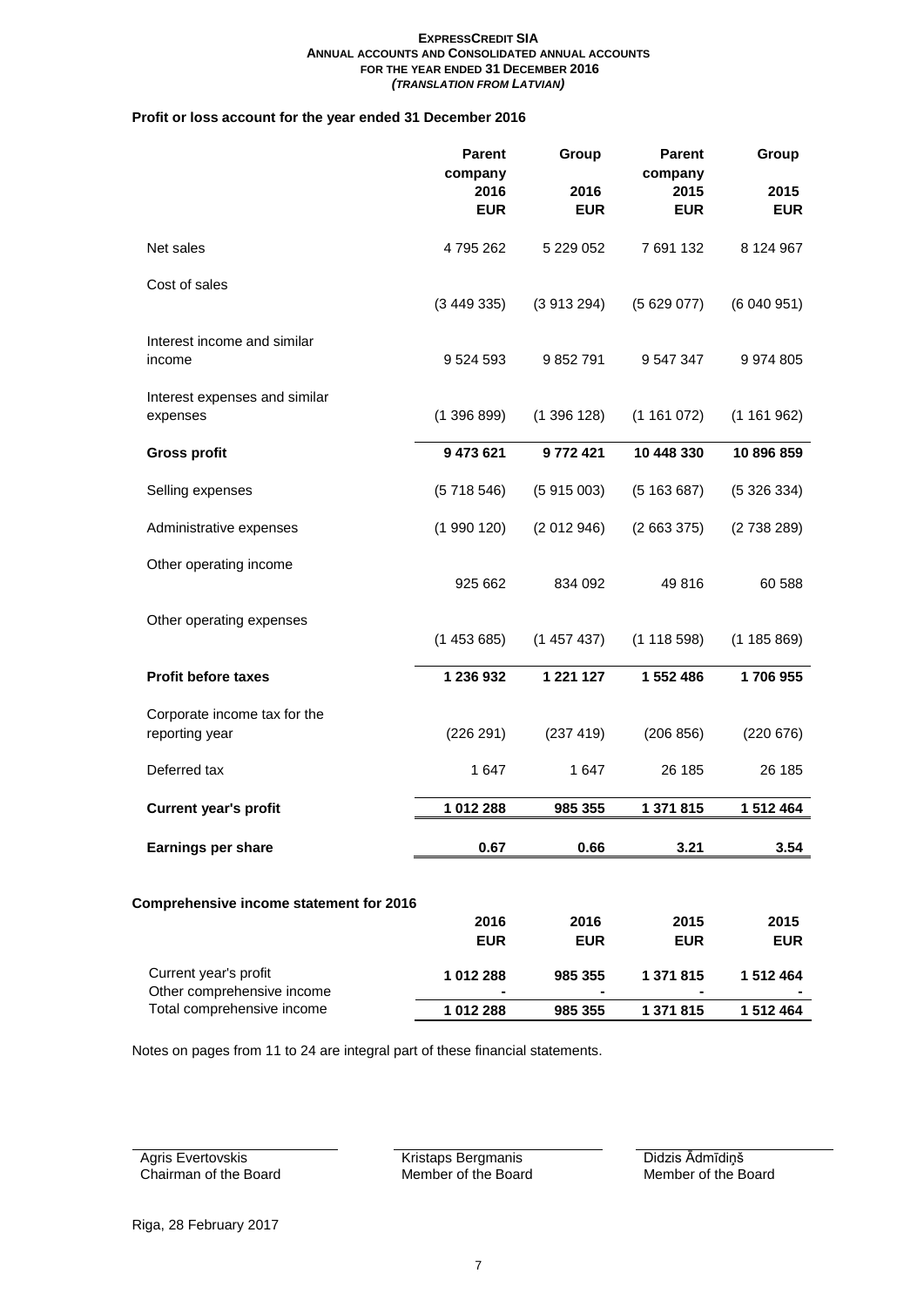# **Profit or loss account for the year ended 31 December 2016**

|                                                     | <b>Parent</b><br>company<br>2016<br><b>EUR</b> | Group<br>2016<br><b>EUR</b> | <b>Parent</b><br>company<br>2015<br><b>EUR</b> | Group<br>2015<br><b>EUR</b> |
|-----------------------------------------------------|------------------------------------------------|-----------------------------|------------------------------------------------|-----------------------------|
| Net sales                                           | 4795262                                        | 5 229 052                   | 7 691 132                                      | 8 124 967                   |
| Cost of sales                                       | (3449335)                                      | (3913294)                   | (5629077)                                      | (6040951)                   |
| Interest income and similar<br>income               | 9 5 24 5 93                                    | 9 852 791                   | 9 547 347                                      | 9 974 805                   |
| Interest expenses and similar<br>expenses           | (139689)                                       | (1396128)                   | (1161072)                                      | (1161962)                   |
| <b>Gross profit</b>                                 | 9 473 621                                      | 9772421                     | 10 448 330                                     | 10 896 859                  |
| Selling expenses                                    | (5718546)                                      | (5915003)                   | (5163687)                                      | (5326334)                   |
| Administrative expenses                             | (1990120)                                      | (2012946)                   | (2663375)                                      | (2738289)                   |
| Other operating income                              | 925 662                                        | 834 092                     | 49816                                          | 60 588                      |
| Other operating expenses                            | (1453685)                                      | (1457437)                   | (1118598)                                      | (1185869)                   |
| <b>Profit before taxes</b>                          | 1 236 932                                      | 1 221 127                   | 1 552 486                                      | 1706955                     |
| Corporate income tax for the<br>reporting year      | (226 291)                                      | (237 419)                   | (206 856)                                      | (220 676)                   |
| Deferred tax                                        | 1647                                           | 1647                        | 26 185                                         | 26 185                      |
| <b>Current year's profit</b>                        | 1 012 288                                      | 985 355                     | 1 371 815                                      | 1 512 464                   |
| Earnings per share                                  | 0.67                                           | 0.66                        | 3.21                                           | 3.54                        |
|                                                     |                                                |                             |                                                |                             |
| Comprehensive income statement for 2016             | 2016<br><b>EUR</b>                             | 2016<br><b>EUR</b>          | 2015<br><b>EUR</b>                             | 2015<br><b>EUR</b>          |
| Current year's profit<br>Other comprehensive income | 1 012 288                                      | 985 355                     | 1 371 815                                      | 1 512 464                   |
| Total comprehensive income                          | 1 012 288                                      | 985 355                     | 1 371 815                                      | 1 512 464                   |

Notes on pages from 11 to 24 are integral part of these financial statements.

Agris Evertovskis Chairman of the Board Kristaps Bergmanis Member of the Board Didzis Ādmīdiņš Member of the Board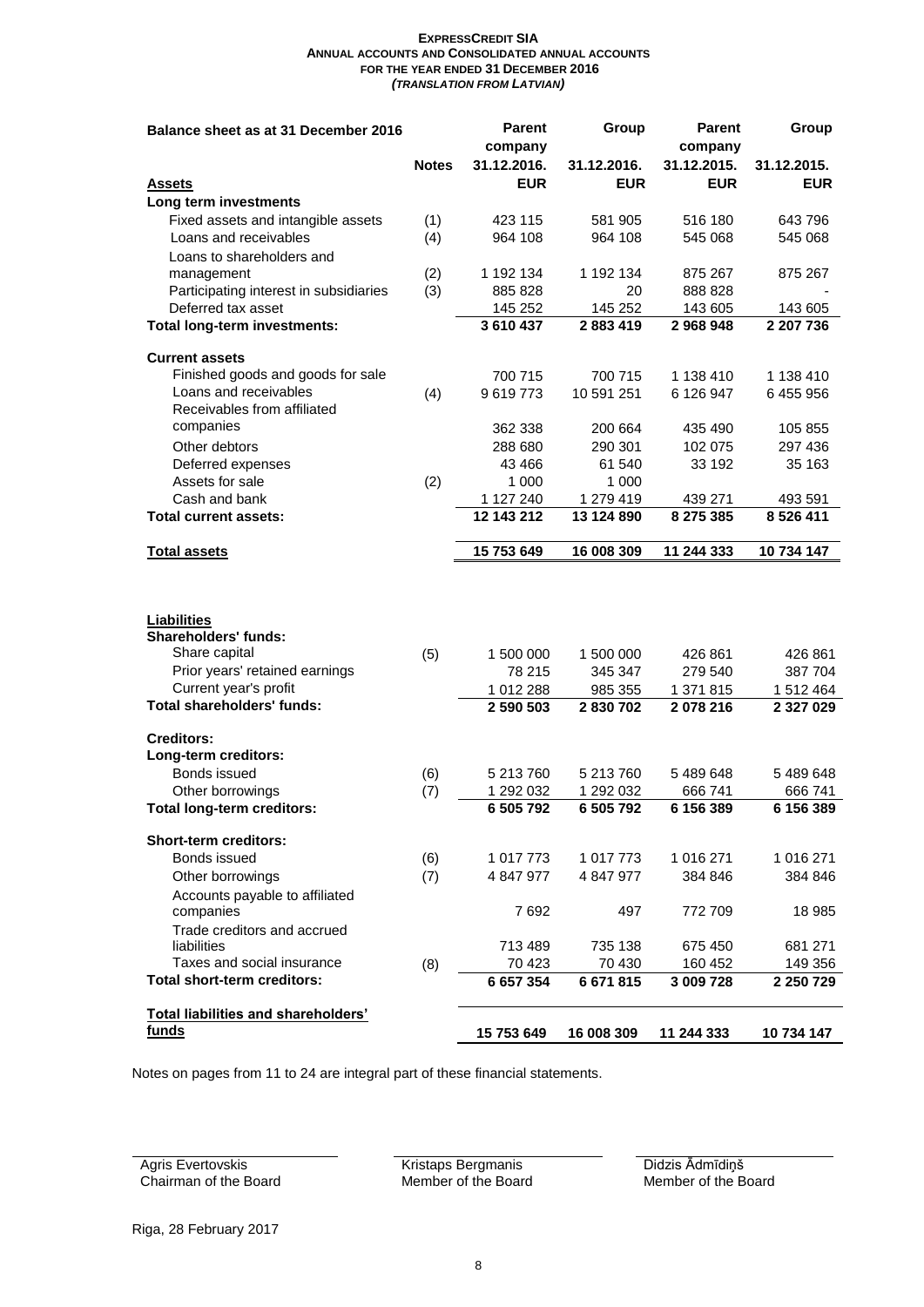| Balance sheet as at 31 December 2016              |              | <b>Parent</b> | Group       | <b>Parent</b> | Group         |
|---------------------------------------------------|--------------|---------------|-------------|---------------|---------------|
|                                                   |              | company       |             | company       |               |
|                                                   | <b>Notes</b> | 31.12.2016.   | 31.12.2016. | 31.12.2015.   | 31.12.2015.   |
| <b>Assets</b>                                     |              | <b>EUR</b>    | <b>EUR</b>  | <b>EUR</b>    | <b>EUR</b>    |
| Long term investments                             |              |               |             |               |               |
| Fixed assets and intangible assets                | (1)          | 423 115       | 581 905     | 516 180       | 643796        |
| Loans and receivables                             | (4)          | 964 108       | 964 108     | 545 068       | 545 068       |
| Loans to shareholders and                         |              |               |             |               |               |
| management                                        | (2)          | 1 192 134     | 1 192 134   | 875 267       | 875 267       |
| Participating interest in subsidiaries            | (3)          | 885 828       | 20          | 888 828       |               |
| Deferred tax asset                                |              | 145 252       | 145 252     | 143 605       | 143 605       |
| Total long-term investments:                      |              | 3610437       | 2883419     | 2968948       | 2 207 736     |
|                                                   |              |               |             |               |               |
| <b>Current assets</b>                             |              |               |             |               |               |
| Finished goods and goods for sale                 |              | 700 715       | 700 715     | 1 138 410     | 1 138 410     |
| Loans and receivables                             | (4)          | 9619773       | 10 591 251  | 6 126 947     | 6455956       |
| Receivables from affiliated                       |              |               |             |               |               |
| companies                                         |              | 362 338       | 200 664     | 435 490       | 105 855       |
| Other debtors                                     |              | 288 680       | 290 301     | 102 075       | 297 436       |
| Deferred expenses                                 |              | 43 4 66       | 61 540      | 33 192        | 35 163        |
| Assets for sale                                   | (2)          | 1 0 0 0       | 1 000       |               |               |
| Cash and bank                                     |              | 1 127 240     | 1 279 419   | 439 271       | 493 591       |
| <b>Total current assets:</b>                      |              | 12 143 212    | 13 124 890  | 8 275 385     | 8 5 26 4 11   |
|                                                   |              |               |             |               |               |
| <b>Total assets</b>                               |              | 15 753 649    | 16 008 309  | 11 244 333    | 10 734 147    |
| <b>Liabilities</b><br><b>Shareholders' funds:</b> |              |               |             |               |               |
| Share capital                                     | (5)          | 1 500 000     | 1 500 000   | 426 861       | 426 861       |
| Prior years' retained earnings                    |              | 78 215        | 345 347     | 279 540       | 387 704       |
| Current year's profit                             |              | 1 012 288     | 985 355     | 1 371 815     | 1 512 464     |
| Total shareholders' funds:                        |              | 2 590 503     | 2 830 702   | 2 078 216     | 2 3 2 7 0 2 9 |
| <b>Creditors:</b><br>Long-term creditors:         |              |               |             |               |               |
| Bonds issued                                      | (6)          | 5 213 760     | 5 213 760   | 5489648       | 5489648       |
| Other borrowings                                  | (7)          | 1 292 032     | 1 292 032   | 666 741       | 666 741       |
| <b>Total long-term creditors:</b>                 |              | 6 505 792     | 6 505 792   | 6 156 389     | 6 156 389     |
| <b>Short-term creditors:</b>                      |              |               |             |               |               |
| Bonds issued                                      | (6)          | 1 017 773     | 1 017 773   | 1 016 271     | 1 016 271     |
| Other borrowings                                  | (7)          | 4 847 977     | 4 847 977   | 384 846       | 384 846       |
| Accounts payable to affiliated                    |              |               |             |               |               |
| companies                                         |              | 7692          | 497         | 772 709       | 18 985        |
| Trade creditors and accrued<br>liabilities        |              | 713 489       | 735 138     | 675 450       | 681 271       |
| Taxes and social insurance                        | (8)          | 70 4 23       | 70 430      | 160 452       | 149 356       |
| <b>Total short-term creditors:</b>                |              | 6 657 354     | 6 671 815   | 3 009 728     | 2 250 729     |
|                                                   |              |               |             |               |               |
| Total liabilities and shareholders'<br>funds      |              | 15 753 649    | 16 008 309  | 11 244 333    | 10 734 147    |

Notes on pages from 11 to 24 are integral part of these financial statements.

Agris Evertovskis Chairman of the Board Kristaps Bergmanis Member of the Board Didzis Ādmīdiņš Member of the Board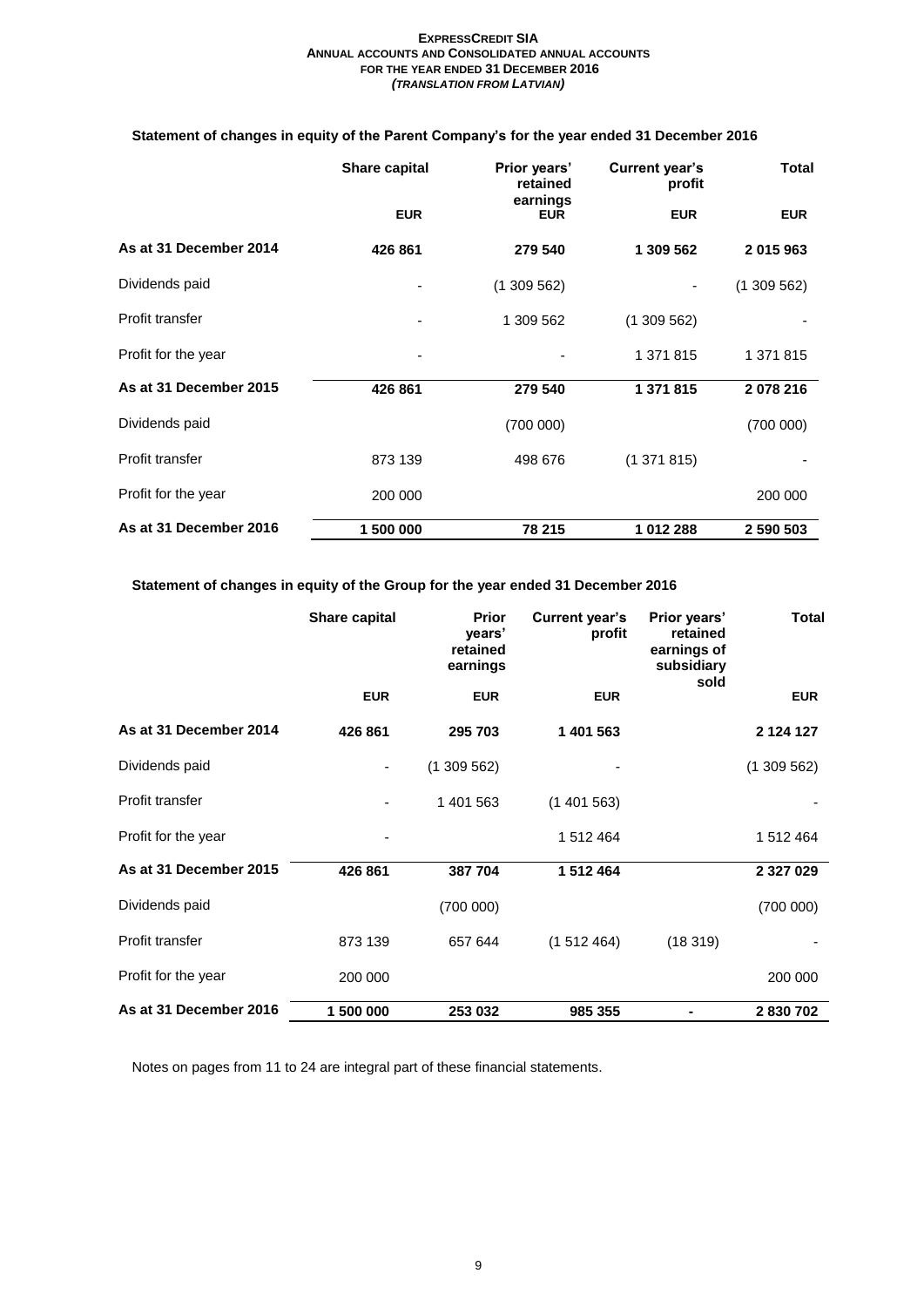# **Statement of changes in equity of the Parent Company's for the year ended 31 December 2016**

|                        | Share capital | <b>Current year's</b><br>Prior years'<br>retained<br>profit |            | <b>Total</b> |  |
|------------------------|---------------|-------------------------------------------------------------|------------|--------------|--|
|                        | <b>EUR</b>    | earnings<br><b>EUR</b>                                      | <b>EUR</b> | <b>EUR</b>   |  |
| As at 31 December 2014 | 426 861       | 279 540                                                     | 1 309 562  | 2 015 963    |  |
| Dividends paid         |               | (1309562)                                                   |            | (1309562)    |  |
| Profit transfer        | -             | 1 309 562                                                   | (1309562)  |              |  |
| Profit for the year    |               |                                                             | 1 371 815  | 1 371 815    |  |
| As at 31 December 2015 | 426 861       | 279 540                                                     | 1 371 815  | 2078216      |  |
| Dividends paid         |               | (700000)                                                    |            | (700000)     |  |
| Profit transfer        | 873 139       | 498 676                                                     | (1371815)  |              |  |
| Profit for the year    | 200 000       |                                                             |            | 200 000      |  |
| As at 31 December 2016 | 1 500 000     | 78 215                                                      | 1012288    | 2 590 503    |  |

**Statement of changes in equity of the Group for the year ended 31 December 2016**

|                        | Share capital | <b>Prior</b><br>years'<br>retained<br>earnings | <b>Current year's</b><br>profit | Prior years'<br>retained<br>earnings of<br>subsidiary<br>sold | <b>Total</b>  |
|------------------------|---------------|------------------------------------------------|---------------------------------|---------------------------------------------------------------|---------------|
|                        | <b>EUR</b>    | <b>EUR</b>                                     | <b>EUR</b>                      |                                                               | <b>EUR</b>    |
| As at 31 December 2014 | 426 861       | 295 703                                        | 1 401 563                       |                                                               | 2 1 2 4 1 2 7 |
| Dividends paid         |               | (1309562)                                      |                                 |                                                               | (1309562)     |
| Profit transfer        | ٠             | 1 401 563                                      | (1401563)                       |                                                               |               |
| Profit for the year    |               |                                                | 1 512 464                       |                                                               | 1 512 464     |
| As at 31 December 2015 | 426 861       | 387 704                                        | 1 512 464                       |                                                               | 2 3 2 7 0 2 9 |
| Dividends paid         |               | (700000)                                       |                                 |                                                               | (700000)      |
| Profit transfer        | 873 139       | 657 644                                        | (1512464)                       | (18319)                                                       |               |
| Profit for the year    | 200 000       |                                                |                                 |                                                               | 200 000       |
| As at 31 December 2016 | 1 500 000     | 253 032                                        | 985 355                         |                                                               | 2830702       |

Notes on pages from 11 to 24 are integral part of these financial statements.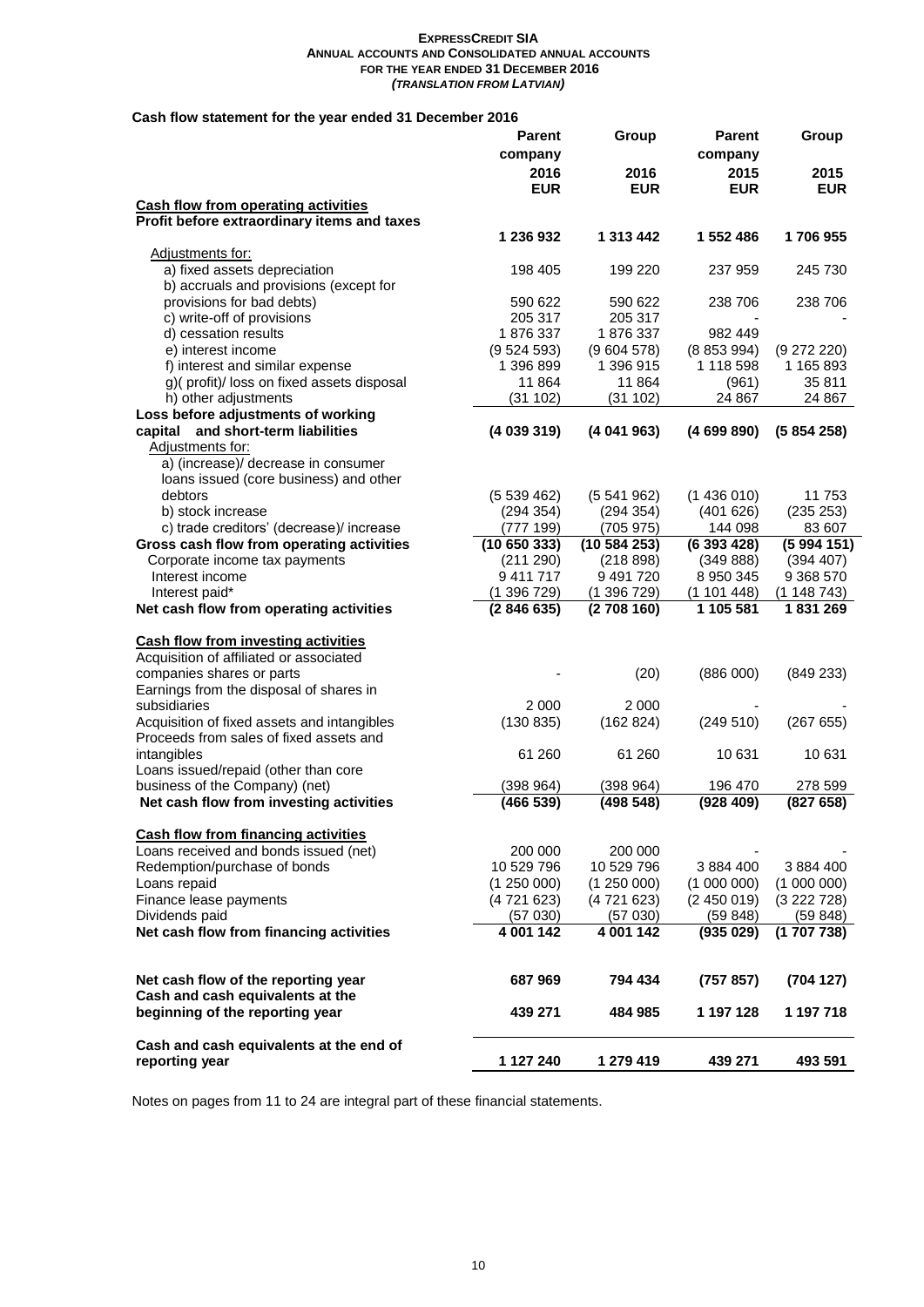# **Cash flow statement for the year ended 31 December 2016**

|                                             | <b>Parent</b> | Group      | Parent     | Group       |
|---------------------------------------------|---------------|------------|------------|-------------|
|                                             | company       |            | company    |             |
|                                             | 2016          | 2016       | 2015       | 2015        |
|                                             | <b>EUR</b>    | <b>EUR</b> | <b>EUR</b> | <b>EUR</b>  |
| <b>Cash flow from operating activities</b>  |               |            |            |             |
| Profit before extraordinary items and taxes |               |            |            |             |
|                                             | 1 236 932     | 1 313 442  | 1 552 486  | 1706955     |
|                                             |               |            |            |             |
| Adjustments for:                            |               |            |            |             |
| a) fixed assets depreciation                | 198 405       | 199 220    | 237 959    | 245 730     |
| b) accruals and provisions (except for      |               |            |            |             |
| provisions for bad debts)                   | 590 622       | 590 622    | 238 706    | 238 706     |
| c) write-off of provisions                  | 205 317       | 205 317    |            |             |
| d) cessation results                        | 1876337       | 1876337    | 982 449    |             |
| e) interest income                          | (9524593)     | (9604578)  | (8853994)  | (9 272 220) |
| f) interest and similar expense             | 1 396 899     | 1 396 915  | 1 118 598  | 1 165 893   |
| g)(profit)/loss on fixed assets disposal    | 11 864        | 11 864     | (961)      | 35 811      |
| h) other adjustments                        | (31 102)      | (31 102)   | 24 867     | 24 867      |
| Loss before adjustments of working          |               |            |            |             |
| capital and short-term liabilities          | (4 039 319)   | (4041963)  | (4699890)  | (5854258)   |
| Adjustments for:                            |               |            |            |             |
| a) (increase)/ decrease in consumer         |               |            |            |             |
| loans issued (core business) and other      |               |            |            |             |
| debtors                                     | (5539462)     | (5541962)  | (1436010)  | 11 753      |
| b) stock increase                           | (294 354)     | (294 354)  | (401626)   | (235 253)   |
| c) trade creditors' (decrease)/ increase    | (777 199)     | (705975)   | 144 098    | 83 607      |
| Gross cash flow from operating activities   | (1065033)     | (10584253) | (6393428)  | (5994151)   |
| Corporate income tax payments               | (211 290)     | (218898)   | (349 888)  | (394 407)   |
| Interest income                             | 9411717       | 9491720    | 8 950 345  | 9 368 570   |
| Interest paid*                              | (1396729)     | (1396729)  | (1101448)  | (1148743)   |
| Net cash flow from operating activities     | (2846635)     | (2708160)  | 1 105 581  | 1831269     |
|                                             |               |            |            |             |
| <b>Cash flow from investing activities</b>  |               |            |            |             |
| Acquisition of affiliated or associated     |               |            |            |             |
| companies shares or parts                   |               | (20)       | (886 000)  | (849 233)   |
| Earnings from the disposal of shares in     |               |            |            |             |
| subsidiaries                                | 2 0 0 0       | 2 0 0 0    |            |             |
| Acquisition of fixed assets and intangibles | (130 835)     | (162 824)  | (249510)   | (26765)     |
| Proceeds from sales of fixed assets and     |               |            |            |             |
| intangibles                                 | 61 260        | 61 260     | 10 631     | 10 631      |
| Loans issued/repaid (other than core        |               |            |            |             |
| business of the Company) (net)              | (398964)      | (398964)   | 196 470    | 278 599     |
| Net cash flow from investing activities     | (466539)      | (498548)   | (928 409)  | (827658)    |
|                                             |               |            |            |             |
| <b>Cash flow from financing activities</b>  |               |            |            |             |
| Loans received and bonds issued (net)       | 200 000       | 200 000    |            |             |
| Redemption/purchase of bonds                | 10 529 796    | 10 529 796 | 3 884 400  | 3 884 400   |
| Loans repaid                                | (1250000)     | (1250000)  | (1000000)  | (1000000)   |
| Finance lease payments                      | (4 721 623)   | (4721623)  | (2450019)  | (3222728)   |
| Dividends paid                              | (57030)       | (57030)    | (59848)    | (59848)     |
| Net cash flow from financing activities     | 4 001 142     | 4 001 142  | (935029)   | (1707738)   |
|                                             |               |            |            |             |
| Net cash flow of the reporting year         | 687 969       | 794 434    | (757 857)  | (704 127)   |
| Cash and cash equivalents at the            |               |            |            |             |
| beginning of the reporting year             | 439 271       | 484 985    | 1 197 128  | 1 197 718   |
|                                             |               |            |            |             |
| Cash and cash equivalents at the end of     |               |            |            |             |
| reporting year                              | 1 127 240     | 1 279 419  | 439 271    | 493 591     |

Notes on pages from 11 to 24 are integral part of these financial statements.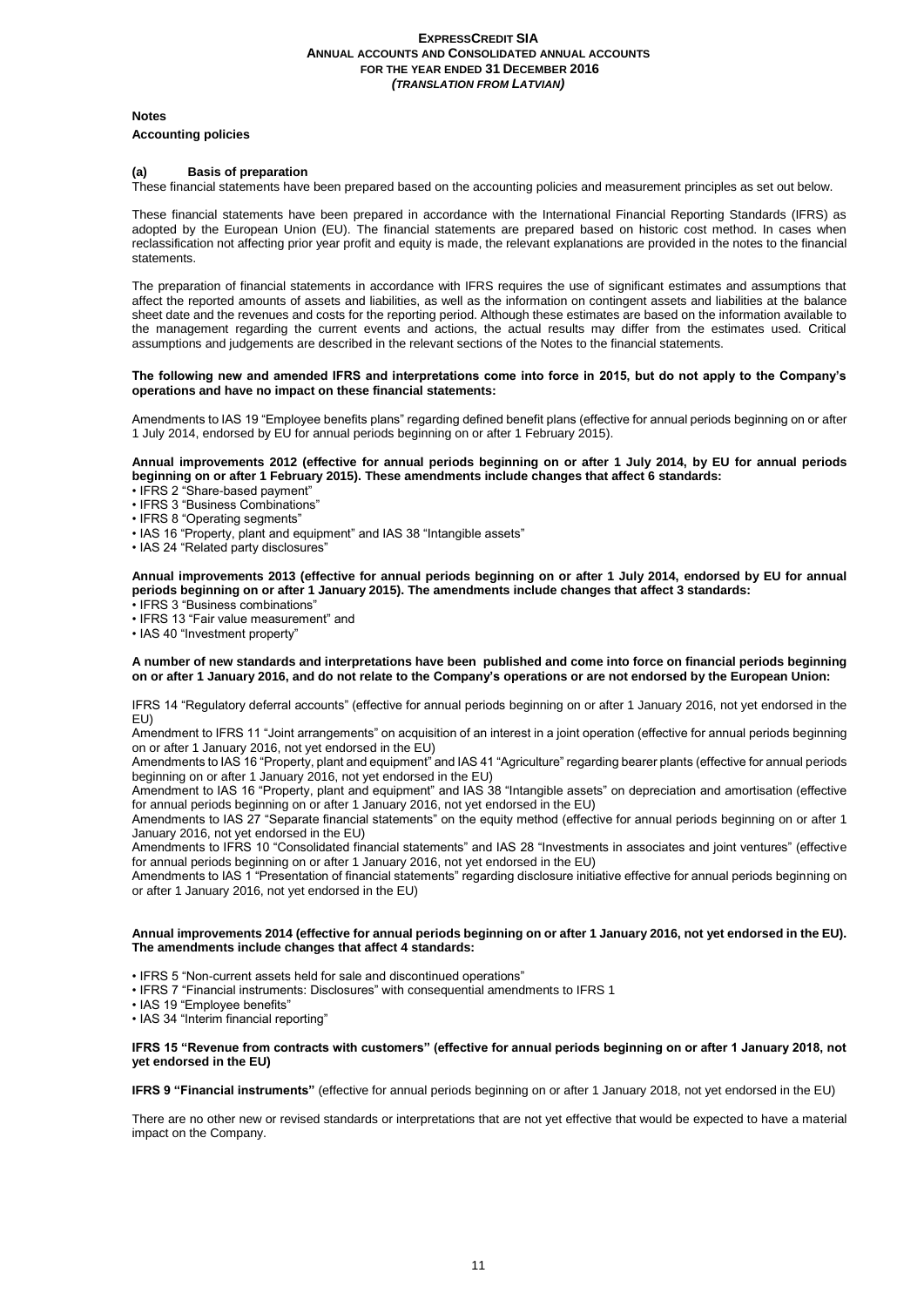**Notes**

#### **Accounting policies**

#### **(a) Basis of preparation**

These financial statements have been prepared based on the accounting policies and measurement principles as set out below.

These financial statements have been prepared in accordance with the International Financial Reporting Standards (IFRS) as adopted by the European Union (EU). The financial statements are prepared based on historic cost method. In cases when reclassification not affecting prior year profit and equity is made, the relevant explanations are provided in the notes to the financial statements.

The preparation of financial statements in accordance with IFRS requires the use of significant estimates and assumptions that affect the reported amounts of assets and liabilities, as well as the information on contingent assets and liabilities at the balance sheet date and the revenues and costs for the reporting period. Although these estimates are based on the information available to the management regarding the current events and actions, the actual results may differ from the estimates used. Critical assumptions and judgements are described in the relevant sections of the Notes to the financial statements.

#### **The following new and amended IFRS and interpretations come into force in 2015, but do not apply to the Company's operations and have no impact on these financial statements:**

Amendments to IAS 19 "Employee benefits plans" regarding defined benefit plans (effective for annual periods beginning on or after 1 July 2014, endorsed by EU for annual periods beginning on or after 1 February 2015).

#### **Annual improvements 2012 (effective for annual periods beginning on or after 1 July 2014, by EU for annual periods beginning on or after 1 February 2015). These amendments include changes that affect 6 standards:**

• IFRS 2 "Share-based payment"

• IFRS 3 "Business Combinations"

• IFRS 8 "Operating segments"

- IAS 16 "Property, plant and equipment" and IAS 38 "Intangible assets"
- IAS 24 "Related party disclosures"

#### **Annual improvements 2013 (effective for annual periods beginning on or after 1 July 2014, endorsed by EU for annual periods beginning on or after 1 January 2015). The amendments include changes that affect 3 standards:**

• IFRS 3 "Business combinations"

• IFRS 13 "Fair value measurement" and

• IAS 40 "Investment property"

#### **A number of new standards and interpretations have been published and come into force on financial periods beginning on or after 1 January 2016, and do not relate to the Company's operations or are not endorsed by the European Union:**

IFRS 14 "Regulatory deferral accounts" (effective for annual periods beginning on or after 1 January 2016, not yet endorsed in the EU)

Amendment to IFRS 11 "Joint arrangements" on acquisition of an interest in a joint operation (effective for annual periods beginning on or after 1 January 2016, not yet endorsed in the EU)

Amendments to IAS 16 "Property, plant and equipment" and IAS 41 "Agriculture" regarding bearer plants (effective for annual periods beginning on or after 1 January 2016, not yet endorsed in the EU)

Amendment to IAS 16 "Property, plant and equipment" and IAS 38 "Intangible assets" on depreciation and amortisation (effective for annual periods beginning on or after 1 January 2016, not yet endorsed in the EU)

Amendments to IAS 27 "Separate financial statements" on the equity method (effective for annual periods beginning on or after 1 January 2016, not yet endorsed in the EU)

Amendments to IFRS 10 "Consolidated financial statements" and IAS 28 "Investments in associates and joint ventures" (effective for annual periods beginning on or after 1 January 2016, not yet endorsed in the EU)

Amendments to IAS 1 "Presentation of financial statements" regarding disclosure initiative effective for annual periods beginning on or after 1 January 2016, not yet endorsed in the EU)

#### **Annual improvements 2014 (effective for annual periods beginning on or after 1 January 2016, not yet endorsed in the EU). The amendments include changes that affect 4 standards:**

• IFRS 5 "Non-current assets held for sale and discontinued operations"

• IFRS 7 "Financial instruments: Disclosures" with consequential amendments to IFRS 1

• IAS 19 "Employee benefits"

• IAS 34 "Interim financial reporting"

#### **IFRS 15 "Revenue from contracts with customers" (effective for annual periods beginning on or after 1 January 2018, not yet endorsed in the EU)**

**IFRS 9 "Financial instruments"** (effective for annual periods beginning on or after 1 January 2018, not yet endorsed in the EU)

There are no other new or revised standards or interpretations that are not yet effective that would be expected to have a material impact on the Company.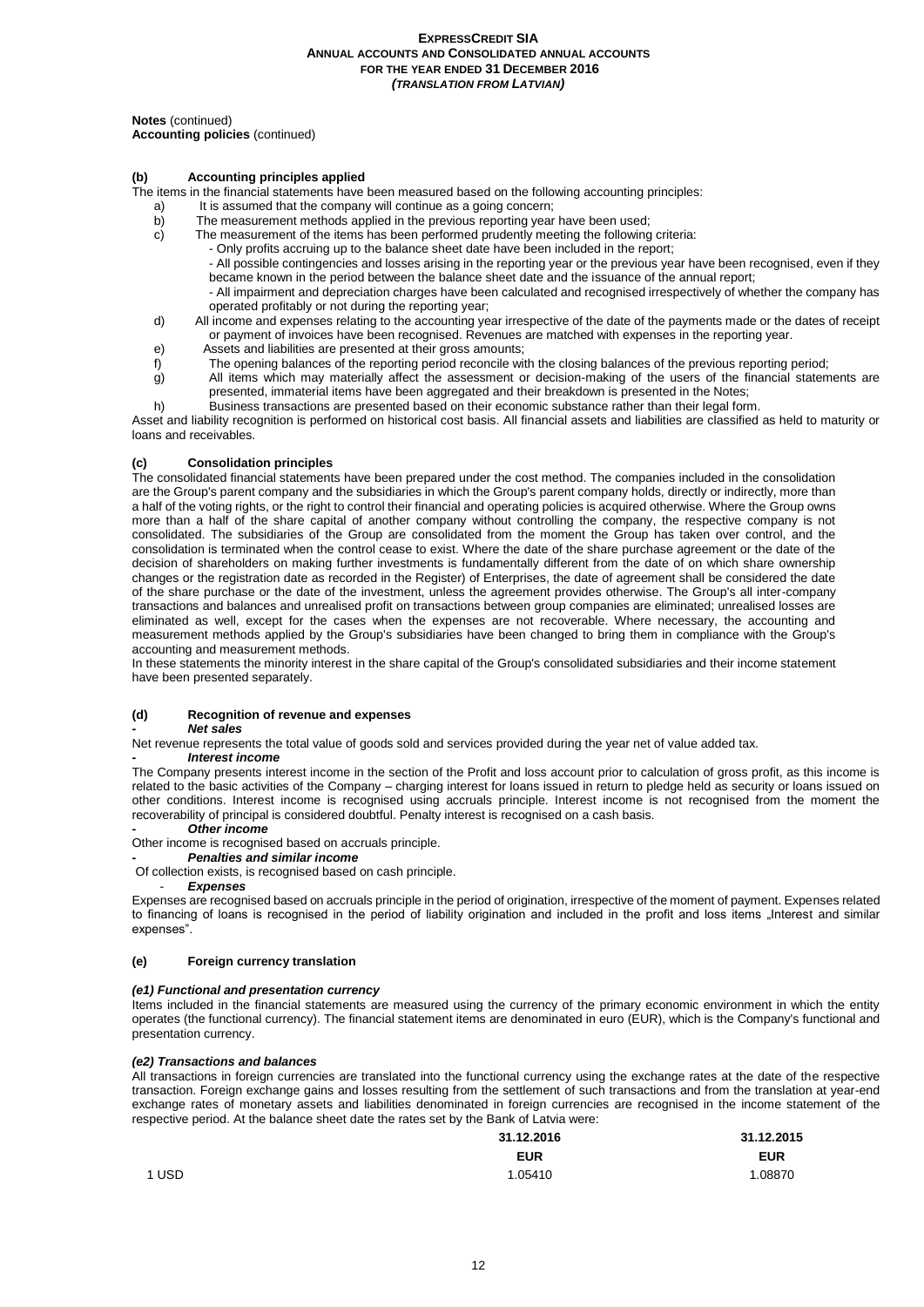**Notes** (continued)

**Accounting policies** (continued)

## **(b) Accounting principles applied**

- The items in the financial statements have been measured based on the following accounting principles:
	- a) It is assumed that the company will continue as a going concern;<br>b) The measurement methods applied in the previous reporting year
	- b) The measurement methods applied in the previous reporting year have been used;<br>c) The measurement of the items has been performed prudently meeting the following
		- The measurement of the items has been performed prudently meeting the following criteria:
			- Only profits accruing up to the balance sheet date have been included in the report;
			- All possible contingencies and losses arising in the reporting year or the previous year have been recognised, even if they became known in the period between the balance sheet date and the issuance of the annual report;
			- All impairment and depreciation charges have been calculated and recognised irrespectively of whether the company has operated profitably or not during the reporting year;
	- d) All income and expenses relating to the accounting year irrespective of the date of the payments made or the dates of receipt or payment of invoices have been recognised. Revenues are matched with expenses in the reporting year.
	- e) Assets and liabilities are presented at their gross amounts;
	-
	- f) The opening balances of the reporting period reconcile with the closing balances of the previous reporting period;<br>g) All items which may materially affect the assessment or decision-making of the users of the financial All items which may materially affect the assessment or decision-making of the users of the financial statements are presented, immaterial items have been aggregated and their breakdown is presented in the Notes;
	- h) Business transactions are presented based on their economic substance rather than their legal form.

Asset and liability recognition is performed on historical cost basis. All financial assets and liabilities are classified as held to maturity or loans and receivables.

#### **(c) Consolidation principles**

The consolidated financial statements have been prepared under the cost method. The companies included in the consolidation are the Group's parent company and the subsidiaries in which the Group's parent company holds, directly or indirectly, more than a half of the voting rights, or the right to control their financial and operating policies is acquired otherwise. Where the Group owns more than a half of the share capital of another company without controlling the company, the respective company is not consolidated. The subsidiaries of the Group are consolidated from the moment the Group has taken over control, and the consolidation is terminated when the control cease to exist. Where the date of the share purchase agreement or the date of the decision of shareholders on making further investments is fundamentally different from the date of on which share ownership changes or the registration date as recorded in the Register) of Enterprises, the date of agreement shall be considered the date of the share purchase or the date of the investment, unless the agreement provides otherwise. The Group's all inter-company transactions and balances and unrealised profit on transactions between group companies are eliminated; unrealised losses are eliminated as well, except for the cases when the expenses are not recoverable. Where necessary, the accounting and measurement methods applied by the Group's subsidiaries have been changed to bring them in compliance with the Group's accounting and measurement methods.

In these statements the minority interest in the share capital of the Group's consolidated subsidiaries and their income statement have been presented separately.

# **(d) Recognition of revenue and expenses**

#### *- Net sales*

Net revenue represents the total value of goods sold and services provided during the year net of value added tax.

#### *- Interest income*

The Company presents interest income in the section of the Profit and loss account prior to calculation of gross profit, as this income is related to the basic activities of the Company – charging interest for loans issued in return to pledge held as security or loans issued on other conditions. Interest income is recognised using accruals principle. Interest income is not recognised from the moment the recoverability of principal is considered doubtful. Penalty interest is recognised on a cash basis.

# *- Other income*

# Other income is recognised based on accruals principle.

*- Penalties and similar income*

Of collection exists, is recognised based on cash principle.

#### - *Expenses*

Expenses are recognised based on accruals principle in the period of origination, irrespective of the moment of payment. Expenses related to financing of loans is recognised in the period of liability origination and included in the profit and loss items Interest and similar expenses".

#### **(e) Foreign currency translation**

#### *(e1) Functional and presentation currency*

Items included in the financial statements are measured using the currency of the primary economic environment in which the entity operates (the functional currency). The financial statement items are denominated in euro (EUR), which is the Company's functional and presentation currency.

#### *(e2) Transactions and balances*

All transactions in foreign currencies are translated into the functional currency using the exchange rates at the date of the respective transaction. Foreign exchange gains and losses resulting from the settlement of such transactions and from the translation at year-end exchange rates of monetary assets and liabilities denominated in foreign currencies are recognised in the income statement of the respective period. At the balance sheet date the rates set by the Bank of Latvia were:

|       | 31.12.2016 | 31.12.2015 |
|-------|------------|------------|
|       | <b>EUR</b> | <b>EUR</b> |
| 1 USD | 1.05410    | 1.08870    |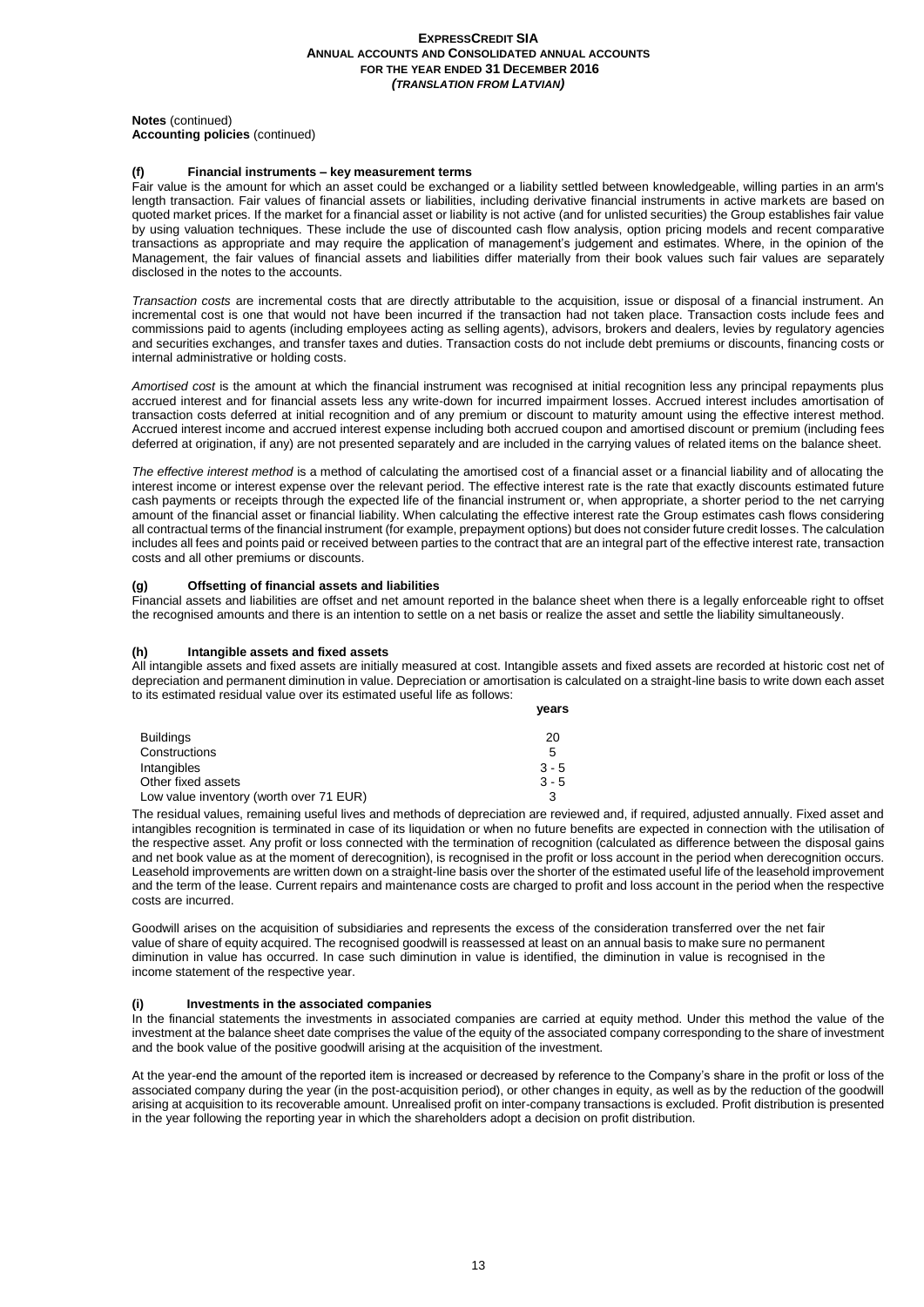#### **Notes** (continued) **Accounting policies** (continued)

#### **(f) Financial instruments – key measurement terms**

Fair value is the amount for which an asset could be exchanged or a liability settled between knowledgeable, willing parties in an arm's length transaction. Fair values of financial assets or liabilities, including derivative financial instruments in active markets are based on quoted market prices. If the market for a financial asset or liability is not active (and for unlisted securities) the Group establishes fair value by using valuation techniques. These include the use of discounted cash flow analysis, option pricing models and recent comparative transactions as appropriate and may require the application of management's judgement and estimates. Where, in the opinion of the Management, the fair values of financial assets and liabilities differ materially from their book values such fair values are separately disclosed in the notes to the accounts.

*Transaction costs* are incremental costs that are directly attributable to the acquisition, issue or disposal of a financial instrument. An incremental cost is one that would not have been incurred if the transaction had not taken place. Transaction costs include fees and commissions paid to agents (including employees acting as selling agents), advisors, brokers and dealers, levies by regulatory agencies and securities exchanges, and transfer taxes and duties. Transaction costs do not include debt premiums or discounts, financing costs or internal administrative or holding costs.

Amortised cost is the amount at which the financial instrument was recognised at initial recognition less any principal repayments plus accrued interest and for financial assets less any write-down for incurred impairment losses. Accrued interest includes amortisation of transaction costs deferred at initial recognition and of any premium or discount to maturity amount using the effective interest method. Accrued interest income and accrued interest expense including both accrued coupon and amortised discount or premium (including fees deferred at origination, if any) are not presented separately and are included in the carrying values of related items on the balance sheet.

*The effective interest method* is a method of calculating the amortised cost of a financial asset or a financial liability and of allocating the interest income or interest expense over the relevant period. The effective interest rate is the rate that exactly discounts estimated future cash payments or receipts through the expected life of the financial instrument or, when appropriate, a shorter period to the net carrying amount of the financial asset or financial liability. When calculating the effective interest rate the Group estimates cash flows considering all contractual terms of the financial instrument (for example, prepayment options) but does not consider future credit losses. The calculation includes all fees and points paid or received between parties to the contract that are an integral part of the effective interest rate, transaction costs and all other premiums or discounts.

#### **(g) Offsetting of financial assets and liabilities**

Financial assets and liabilities are offset and net amount reported in the balance sheet when there is a legally enforceable right to offset the recognised amounts and there is an intention to settle on a net basis or realize the asset and settle the liability simultaneously.

#### **(h) Intangible assets and fixed assets**

All intangible assets and fixed assets are initially measured at cost. Intangible assets and fixed assets are recorded at historic cost net of depreciation and permanent diminution in value. Depreciation or amortisation is calculated on a straight-line basis to write down each asset to its estimated residual value over its estimated useful life as follows: **years**

|                                         | yuu a   |
|-----------------------------------------|---------|
| <b>Buildings</b>                        | 20      |
| Constructions                           | 5       |
| Intangibles                             | $3 - 5$ |
| Other fixed assets                      | $3 - 5$ |
| Low value inventory (worth over 71 EUR) |         |

The residual values, remaining useful lives and methods of depreciation are reviewed and, if required, adjusted annually. Fixed asset and intangibles recognition is terminated in case of its liquidation or when no future benefits are expected in connection with the utilisation of the respective asset. Any profit or loss connected with the termination of recognition (calculated as difference between the disposal gains and net book value as at the moment of derecognition), is recognised in the profit or loss account in the period when derecognition occurs. Leasehold improvements are written down on a straight-line basis over the shorter of the estimated useful life of the leasehold improvement and the term of the lease. Current repairs and maintenance costs are charged to profit and loss account in the period when the respective costs are incurred.

Goodwill arises on the acquisition of subsidiaries and represents the excess of the consideration transferred over the net fair value of share of equity acquired. The recognised goodwill is reassessed at least on an annual basis to make sure no permanent diminution in value has occurred. In case such diminution in value is identified, the diminution in value is recognised in the income statement of the respective year.

#### **(i) Investments in the associated companies**

In the financial statements the investments in associated companies are carried at equity method. Under this method the value of the investment at the balance sheet date comprises the value of the equity of the associated company corresponding to the share of investment and the book value of the positive goodwill arising at the acquisition of the investment.

At the year-end the amount of the reported item is increased or decreased by reference to the Company's share in the profit or loss of the associated company during the year (in the post-acquisition period), or other changes in equity, as well as by the reduction of the goodwill arising at acquisition to its recoverable amount. Unrealised profit on inter-company transactions is excluded. Profit distribution is presented in the year following the reporting year in which the shareholders adopt a decision on profit distribution.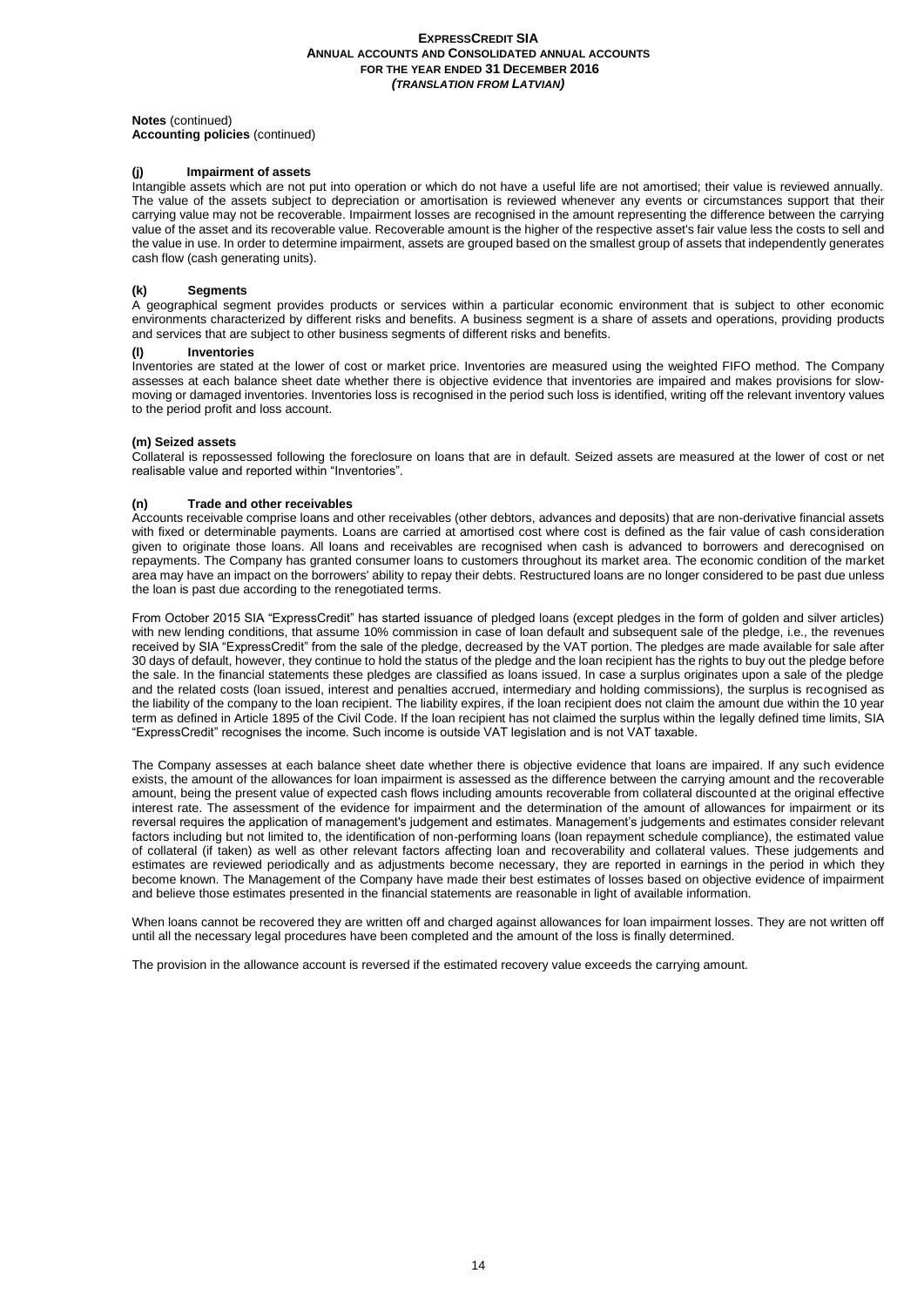**Notes** (continued)

**Accounting policies** (continued)

# **(j) Impairment of assets**

Intangible assets which are not put into operation or which do not have a useful life are not amortised; their value is reviewed annually. The value of the assets subject to depreciation or amortisation is reviewed whenever any events or circumstances support that their carrying value may not be recoverable. Impairment losses are recognised in the amount representing the difference between the carrying value of the asset and its recoverable value. Recoverable amount is the higher of the respective asset's fair value less the costs to sell and the value in use. In order to determine impairment, assets are grouped based on the smallest group of assets that independently generates cash flow (cash generating units).

## **(k) Segments**

A geographical segment provides products or services within a particular economic environment that is subject to other economic environments characterized by different risks and benefits. A business segment is a share of assets and operations, providing products and services that are subject to other business segments of different risks and benefits.

#### **(l) Inventories**

Inventories are stated at the lower of cost or market price. Inventories are measured using the weighted FIFO method. The Company assesses at each balance sheet date whether there is objective evidence that inventories are impaired and makes provisions for slowmoving or damaged inventories. Inventories loss is recognised in the period such loss is identified, writing off the relevant inventory values to the period profit and loss account.

#### **(m) Seized assets**

Collateral is repossessed following the foreclosure on loans that are in default. Seized assets are measured at the lower of cost or net realisable value and reported within "Inventories".

#### **(n) Trade and other receivables**

Accounts receivable comprise loans and other receivables (other debtors, advances and deposits) that are non-derivative financial assets with fixed or determinable payments. Loans are carried at amortised cost where cost is defined as the fair value of cash consideration given to originate those loans. All loans and receivables are recognised when cash is advanced to borrowers and derecognised on repayments. The Company has granted consumer loans to customers throughout its market area. The economic condition of the market area may have an impact on the borrowers' ability to repay their debts. Restructured loans are no longer considered to be past due unless the loan is past due according to the renegotiated terms.

From October 2015 SIA "ExpressCredit" has started issuance of pledged loans (except pledges in the form of golden and silver articles) with new lending conditions, that assume 10% commission in case of loan default and subsequent sale of the pledge, i.e., the revenues received by SIA "ExpressCredit" from the sale of the pledge, decreased by the VAT portion. The pledges are made available for sale after 30 days of default, however, they continue to hold the status of the pledge and the loan recipient has the rights to buy out the pledge before the sale. In the financial statements these pledges are classified as loans issued. In case a surplus originates upon a sale of the pledge and the related costs (loan issued, interest and penalties accrued, intermediary and holding commissions), the surplus is recognised as the liability of the company to the loan recipient. The liability expires, if the loan recipient does not claim the amount due within the 10 year term as defined in Article 1895 of the Civil Code. If the loan recipient has not claimed the surplus within the legally defined time limits, SIA "ExpressCredit" recognises the income. Such income is outside VAT legislation and is not VAT taxable.

The Company assesses at each balance sheet date whether there is objective evidence that loans are impaired. If any such evidence exists, the amount of the allowances for loan impairment is assessed as the difference between the carrying amount and the recoverable amount, being the present value of expected cash flows including amounts recoverable from collateral discounted at the original effective interest rate. The assessment of the evidence for impairment and the determination of the amount of allowances for impairment or its reversal requires the application of management's judgement and estimates. Management's judgements and estimates consider relevant factors including but not limited to, the identification of non-performing loans (loan repayment schedule compliance), the estimated value of collateral (if taken) as well as other relevant factors affecting loan and recoverability and collateral values. These judgements and estimates are reviewed periodically and as adjustments become necessary, they are reported in earnings in the period in which they become known. The Management of the Company have made their best estimates of losses based on objective evidence of impairment and believe those estimates presented in the financial statements are reasonable in light of available information.

When loans cannot be recovered they are written off and charged against allowances for loan impairment losses. They are not written off until all the necessary legal procedures have been completed and the amount of the loss is finally determined.

The provision in the allowance account is reversed if the estimated recovery value exceeds the carrying amount.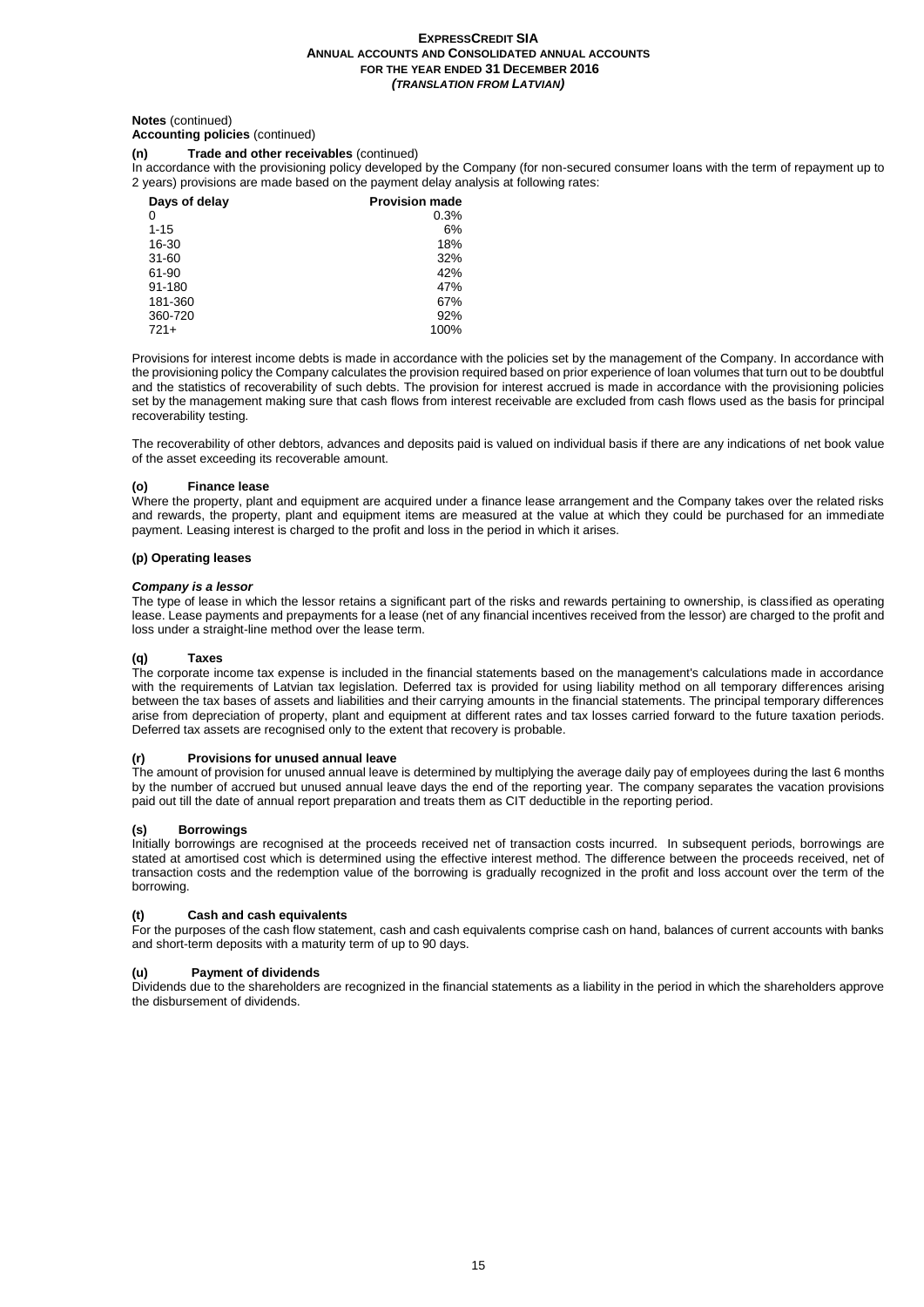# **Notes** (continued)

# **Accounting policies** (continued)

# **(n) Trade and other receivables** (continued)

In accordance with the provisioning policy developed by the Company (for non-secured consumer loans with the term of repayment up to 2 years) provisions are made based on the payment delay analysis at following rates:

| Days of delay | <b>Provision made</b> |
|---------------|-----------------------|
| 0             | 0.3%                  |
| $1 - 15$      | 6%                    |
| 16-30         | 18%                   |
| $31 - 60$     | 32%                   |
| 61-90         | 42%                   |
| 91-180        | 47%                   |
| 181-360       | 67%                   |
| 360-720       | 92%                   |
| $721+$        | 100%                  |

Provisions for interest income debts is made in accordance with the policies set by the management of the Company. In accordance with the provisioning policy the Company calculates the provision required based on prior experience of loan volumes that turn out to be doubtful and the statistics of recoverability of such debts. The provision for interest accrued is made in accordance with the provisioning policies set by the management making sure that cash flows from interest receivable are excluded from cash flows used as the basis for principal recoverability testing.

The recoverability of other debtors, advances and deposits paid is valued on individual basis if there are any indications of net book value of the asset exceeding its recoverable amount.

#### **(o) Finance lease**

Where the property, plant and equipment are acquired under a finance lease arrangement and the Company takes over the related risks and rewards, the property, plant and equipment items are measured at the value at which they could be purchased for an immediate payment. Leasing interest is charged to the profit and loss in the period in which it arises.

#### **(p) Operating leases**

## *Company is a lessor*

The type of lease in which the lessor retains a significant part of the risks and rewards pertaining to ownership, is classified as operating lease. Lease payments and prepayments for a lease (net of any financial incentives received from the lessor) are charged to the profit and loss under a straight-line method over the lease term.

#### **(q) Taxes**

The corporate income tax expense is included in the financial statements based on the management's calculations made in accordance with the requirements of Latvian tax legislation. Deferred tax is provided for using liability method on all temporary differences arising between the tax bases of assets and liabilities and their carrying amounts in the financial statements. The principal temporary differences arise from depreciation of property, plant and equipment at different rates and tax losses carried forward to the future taxation periods. Deferred tax assets are recognised only to the extent that recovery is probable.

#### **(r) Provisions for unused annual leave**

The amount of provision for unused annual leave is determined by multiplying the average daily pay of employees during the last 6 months by the number of accrued but unused annual leave days the end of the reporting year. The company separates the vacation provisions paid out till the date of annual report preparation and treats them as CIT deductible in the reporting period.

#### **(s) Borrowings**

Initially borrowings are recognised at the proceeds received net of transaction costs incurred. In subsequent periods, borrowings are stated at amortised cost which is determined using the effective interest method. The difference between the proceeds received, net of transaction costs and the redemption value of the borrowing is gradually recognized in the profit and loss account over the term of the borrowing.

#### **(t) Cash and cash equivalents**

For the purposes of the cash flow statement, cash and cash equivalents comprise cash on hand, balances of current accounts with banks and short-term deposits with a maturity term of up to 90 days.

#### **(u) Payment of dividends**

Dividends due to the shareholders are recognized in the financial statements as a liability in the period in which the shareholders approve the disbursement of dividends.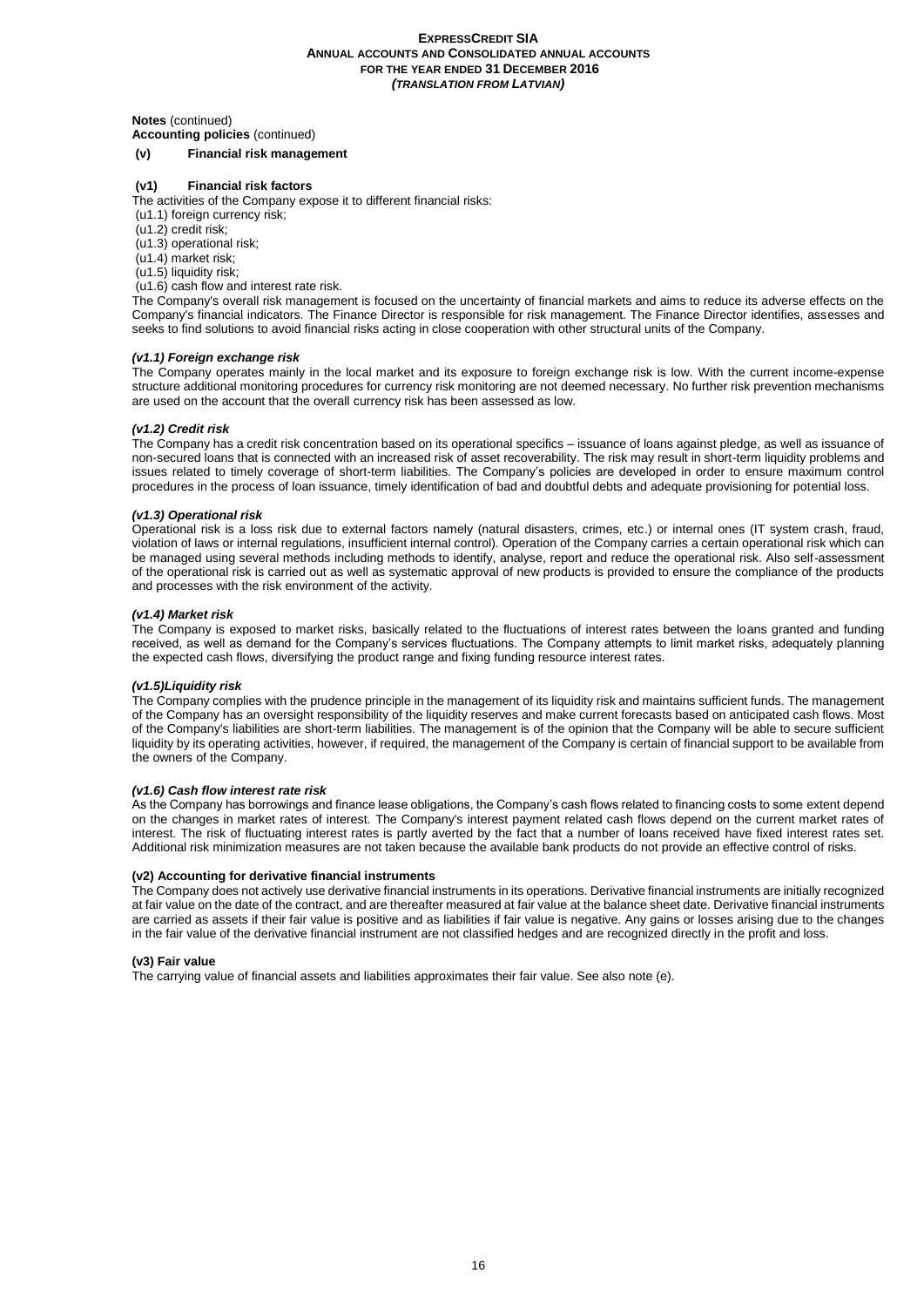#### **Notes** (continued)

**Accounting policies** (continued)

#### **(v) Financial risk management**

# **(v1) Financial risk factors**

The activities of the Company expose it to different financial risks:

- (u1.1) foreign currency risk;
- (u1.2) credit risk;
- (u1.3) operational risk;
- (u1.4) market risk;
- (u1.5) liquidity risk;
- (u1.6) cash flow and interest rate risk.

The Company's overall risk management is focused on the uncertainty of financial markets and aims to reduce its adverse effects on the Company's financial indicators. The Finance Director is responsible for risk management. The Finance Director identifies, assesses and seeks to find solutions to avoid financial risks acting in close cooperation with other structural units of the Company.

## *(v1.1) Foreign exchange risk*

The Company operates mainly in the local market and its exposure to foreign exchange risk is low. With the current income-expense structure additional monitoring procedures for currency risk monitoring are not deemed necessary. No further risk prevention mechanisms are used on the account that the overall currency risk has been assessed as low.

# *(v1.2) Credit risk*

The Company has a credit risk concentration based on its operational specifics – issuance of loans against pledge, as well as issuance of non-secured loans that is connected with an increased risk of asset recoverability. The risk may result in short-term liquidity problems and issues related to timely coverage of short-term liabilities. The Company's policies are developed in order to ensure maximum control procedures in the process of loan issuance, timely identification of bad and doubtful debts and adequate provisioning for potential loss.

#### *(v1.3) Operational risk*

Operational risk is a loss risk due to external factors namely (natural disasters, crimes, etc.) or internal ones (IT system crash, fraud, violation of laws or internal regulations, insufficient internal control). Operation of the Company carries a certain operational risk which can be managed using several methods including methods to identify, analyse, report and reduce the operational risk. Also self-assessment of the operational risk is carried out as well as systematic approval of new products is provided to ensure the compliance of the products and processes with the risk environment of the activity.

#### *(v1.4) Market risk*

The Company is exposed to market risks, basically related to the fluctuations of interest rates between the loans granted and funding received, as well as demand for the Company's services fluctuations. The Company attempts to limit market risks, adequately planning the expected cash flows, diversifying the product range and fixing funding resource interest rates.

#### *(v1.5)Liquidity risk*

The Company complies with the prudence principle in the management of its liquidity risk and maintains sufficient funds. The management of the Company has an oversight responsibility of the liquidity reserves and make current forecasts based on anticipated cash flows. Most of the Company's liabilities are short-term liabilities. The management is of the opinion that the Company will be able to secure sufficient liquidity by its operating activities, however, if required, the management of the Company is certain of financial support to be available from the owners of the Company.

#### *(v1.6) Cash flow interest rate risk*

As the Company has borrowings and finance lease obligations, the Company's cash flows related to financing costs to some extent depend on the changes in market rates of interest. The Company's interest payment related cash flows depend on the current market rates of interest. The risk of fluctuating interest rates is partly averted by the fact that a number of loans received have fixed interest rates set. Additional risk minimization measures are not taken because the available bank products do not provide an effective control of risks.

#### **(v2) Accounting for derivative financial instruments**

The Company does not actively use derivative financial instruments in its operations. Derivative financial instruments are initially recognized at fair value on the date of the contract, and are thereafter measured at fair value at the balance sheet date. Derivative financial instruments are carried as assets if their fair value is positive and as liabilities if fair value is negative. Any gains or losses arising due to the changes in the fair value of the derivative financial instrument are not classified hedges and are recognized directly in the profit and loss.

#### **(v3) Fair value**

The carrying value of financial assets and liabilities approximates their fair value. See also note (e).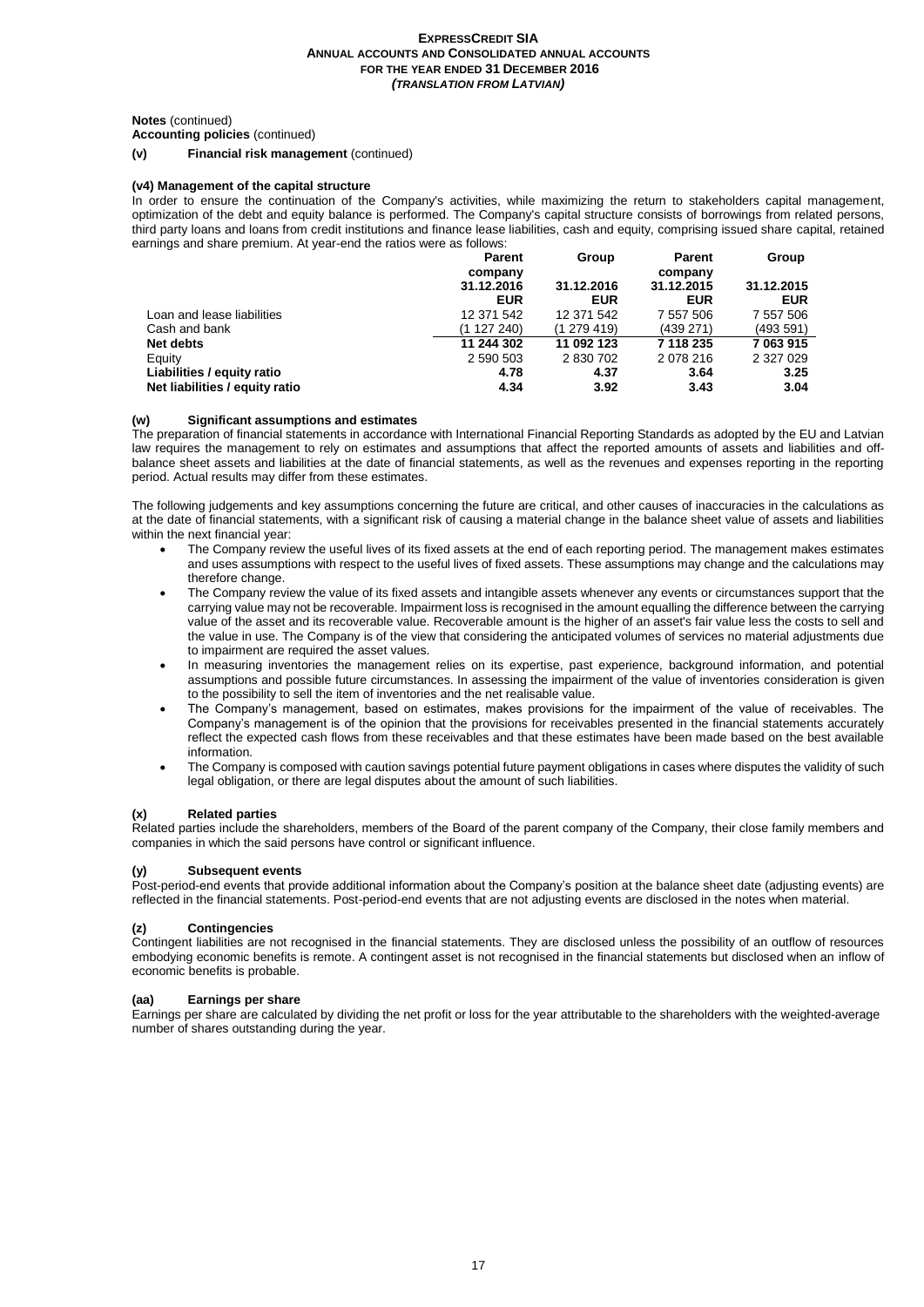#### **Notes** (continued)

**Accounting policies** (continued)

**(v) Financial risk management** (continued)

#### **(v4) Management of the capital structure**

In order to ensure the continuation of the Company's activities, while maximizing the return to stakeholders capital management, optimization of the debt and equity balance is performed. The Company's capital structure consists of borrowings from related persons, third party loans and loans from credit institutions and finance lease liabilities, cash and equity, comprising issued share capital, retained earnings and share premium. At year-end the ratios were as follows:

|                                | <b>Parent</b> | Group      | Parent     | Group      |
|--------------------------------|---------------|------------|------------|------------|
|                                | company       |            | company    |            |
|                                | 31.12.2016    | 31.12.2016 | 31.12.2015 | 31.12.2015 |
|                                | <b>EUR</b>    | <b>EUR</b> | EUR        | <b>EUR</b> |
| Loan and lease liabilities     | 12 371 542    | 12 371 542 | 7 557 506  | 7 557 506  |
| Cash and bank                  | (1 127 240)   | (1279419)  | (439 271)  | (493 591)  |
| Net debts                      | 11 244 302    | 11 092 123 | 7 118 235  | 7 063 915  |
| Equity                         | 2 590 503     | 2 830 702  | 2 0 78 216 | 2 327 029  |
| Liabilities / equity ratio     | 4.78          | 4.37       | 3.64       | 3.25       |
| Net liabilities / equity ratio | 4.34          | 3.92       | 3.43       | 3.04       |

#### **(w) Significant assumptions and estimates**

The preparation of financial statements in accordance with International Financial Reporting Standards as adopted by the EU and Latvian law requires the management to rely on estimates and assumptions that affect the reported amounts of assets and liabilities and offbalance sheet assets and liabilities at the date of financial statements, as well as the revenues and expenses reporting in the reporting period. Actual results may differ from these estimates.

The following judgements and key assumptions concerning the future are critical, and other causes of inaccuracies in the calculations as at the date of financial statements, with a significant risk of causing a material change in the balance sheet value of assets and liabilities within the next financial year:

- The Company review the useful lives of its fixed assets at the end of each reporting period. The management makes estimates and uses assumptions with respect to the useful lives of fixed assets. These assumptions may change and the calculations may therefore change.
- The Company review the value of its fixed assets and intangible assets whenever any events or circumstances support that the carrying value may not be recoverable. Impairment loss is recognised in the amount equalling the difference between the carrying value of the asset and its recoverable value. Recoverable amount is the higher of an asset's fair value less the costs to sell and the value in use. The Company is of the view that considering the anticipated volumes of services no material adjustments due to impairment are required the asset values.
- In measuring inventories the management relies on its expertise, past experience, background information, and potential assumptions and possible future circumstances. In assessing the impairment of the value of inventories consideration is given to the possibility to sell the item of inventories and the net realisable value.
- The Company's management, based on estimates, makes provisions for the impairment of the value of receivables. The Company's management is of the opinion that the provisions for receivables presented in the financial statements accurately reflect the expected cash flows from these receivables and that these estimates have been made based on the best available information.
- The Company is composed with caution savings potential future payment obligations in cases where disputes the validity of such legal obligation, or there are legal disputes about the amount of such liabilities.

#### **(x) Related parties**

Related parties include the shareholders, members of the Board of the parent company of the Company, their close family members and companies in which the said persons have control or significant influence.

#### **(y) Subsequent events**

Post-period-end events that provide additional information about the Company's position at the balance sheet date (adjusting events) are reflected in the financial statements. Post-period-end events that are not adjusting events are disclosed in the notes when material.

#### **(z) Contingencies**

Contingent liabilities are not recognised in the financial statements. They are disclosed unless the possibility of an outflow of resources embodying economic benefits is remote. A contingent asset is not recognised in the financial statements but disclosed when an inflow of economic benefits is probable.

#### **(aa) Earnings per share**

Earnings per share are calculated by dividing the net profit or loss for the year attributable to the shareholders with the weighted-average number of shares outstanding during the year.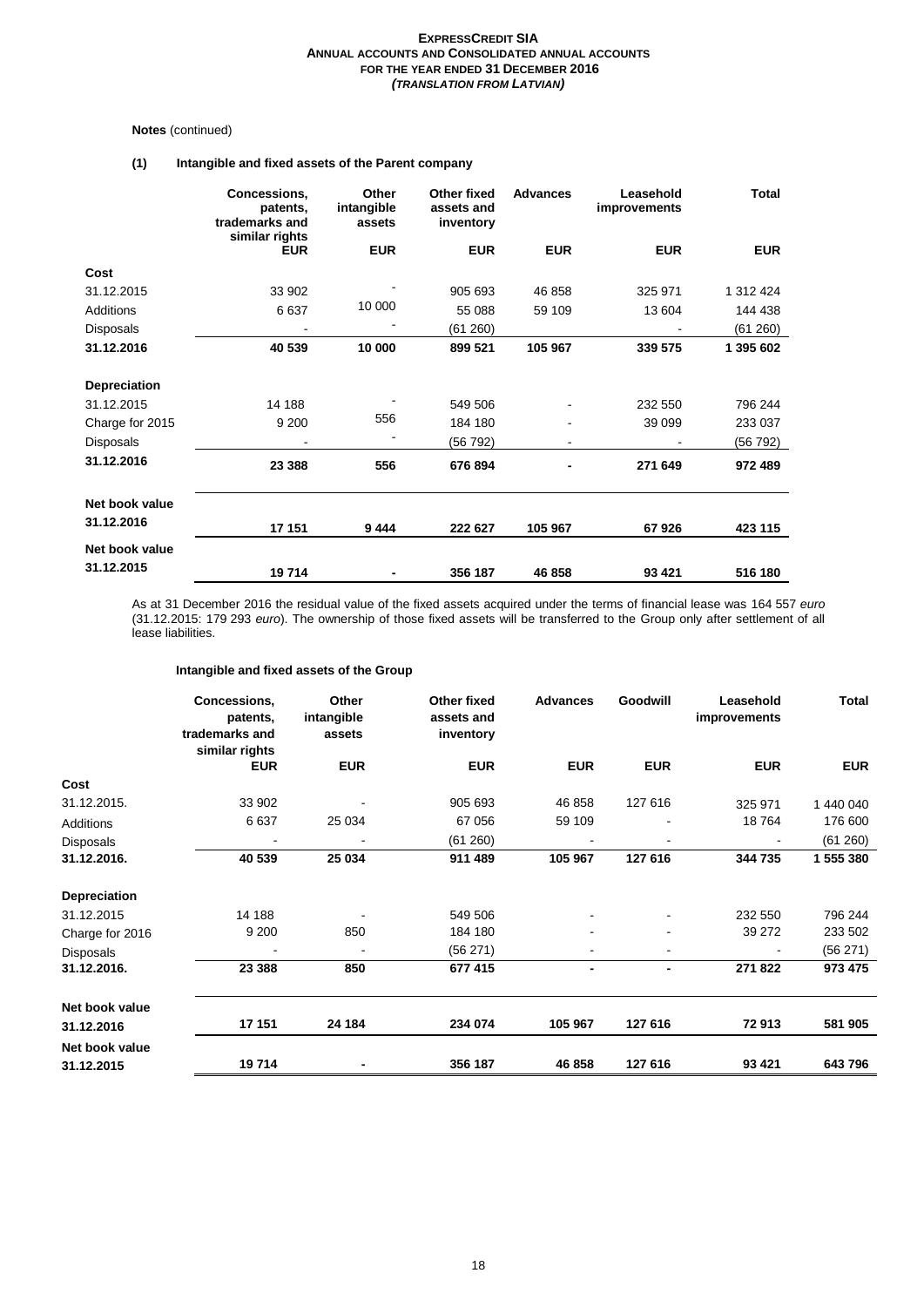# **Notes** (continued)

# **(1) Intangible and fixed assets of the Parent company**

|                     | Concessions,<br>patents,<br>trademarks and<br>similar rights | Other<br>intangible<br>assets | Other fixed<br>assets and<br>inventory | <b>Advances</b> | Leasehold<br>improvements | <b>Total</b> |
|---------------------|--------------------------------------------------------------|-------------------------------|----------------------------------------|-----------------|---------------------------|--------------|
|                     | <b>EUR</b>                                                   | <b>EUR</b>                    | <b>EUR</b>                             | <b>EUR</b>      | <b>EUR</b>                | <b>EUR</b>   |
| Cost                |                                                              |                               |                                        |                 |                           |              |
| 31.12.2015          | 33 902                                                       |                               | 905 693                                | 46 858          | 325 971                   | 1 312 424    |
| <b>Additions</b>    | 6637                                                         | 10 000                        | 55 088                                 | 59 109          | 13 604                    | 144 438      |
| <b>Disposals</b>    |                                                              |                               | (61 260)                               |                 |                           | (61 260)     |
| 31.12.2016          | 40 539                                                       | 10 000                        | 899 521                                | 105 967         | 339 575                   | 1 395 602    |
| <b>Depreciation</b> |                                                              |                               |                                        |                 |                           |              |
| 31.12.2015          | 14 188                                                       |                               | 549 506                                |                 | 232 550                   | 796 244      |
| Charge for 2015     | 9 2 0 0                                                      | 556                           | 184 180                                |                 | 39 099                    | 233 037      |
| <b>Disposals</b>    |                                                              |                               | (56 792)                               | $\blacksquare$  |                           | (56 792)     |
| 31.12.2016          | 23 388                                                       | 556                           | 676 894                                | -               | 271 649                   | 972 489      |
| Net book value      |                                                              |                               |                                        |                 |                           |              |
| 31.12.2016          | 17 151                                                       | 9444                          | 222 627                                | 105 967         | 67926                     | 423 115      |
| Net book value      |                                                              |                               |                                        |                 |                           |              |
| 31.12.2015          | 19714                                                        |                               | 356 187                                | 46 858          | 93 4 21                   | 516 180      |

As at 31 December 2016 the residual value of the fixed assets acquired under the terms of financial lease was 164 557 *euro* (31.12.2015: 179 293 *euro*). The ownership of those fixed assets will be transferred to the Group only after settlement of all lease liabilities.

# **Intangible and fixed assets of the Group**

|                  | Concessions,<br>patents,<br>trademarks and | Other<br>intangible<br>assets | Other fixed<br>assets and<br>inventory | <b>Advances</b> | Goodwill       | Leasehold<br>improvements | Total      |
|------------------|--------------------------------------------|-------------------------------|----------------------------------------|-----------------|----------------|---------------------------|------------|
|                  | similar rights<br><b>EUR</b>               | <b>EUR</b>                    | <b>EUR</b>                             | <b>EUR</b>      | <b>EUR</b>     | <b>EUR</b>                | <b>EUR</b> |
| Cost             |                                            |                               |                                        |                 |                |                           |            |
| 31.12.2015.      | 33 902                                     |                               | 905 693                                | 46 858          | 127 616        | 325 971                   | 1 440 040  |
| Additions        | 6637                                       | 25 0 34                       | 67 056                                 | 59 109          |                | 18764                     | 176 600    |
| <b>Disposals</b> |                                            |                               | (61 260)                               |                 |                |                           | (61 260)   |
| 31.12.2016.      | 40 539                                     | 25 034                        | 911 489                                | 105 967         | 127 616        | 344 735                   | 1 555 380  |
| Depreciation     |                                            |                               |                                        |                 |                |                           |            |
| 31.12.2015       | 14 188                                     |                               | 549 506                                |                 |                | 232 550                   | 796 244    |
| Charge for 2016  | 9 2 0 0                                    | 850                           | 184 180                                |                 |                | 39 27 2                   | 233 502    |
| <b>Disposals</b> |                                            |                               | (56 271)                               |                 |                |                           | (56 271)   |
| 31.12.2016.      | 23 388                                     | 850                           | 677 415                                | ٠               | $\blacksquare$ | 271 822                   | 973 475    |
| Net book value   |                                            |                               |                                        |                 |                |                           |            |
| 31.12.2016       | 17 151                                     | 24 184                        | 234 074                                | 105 967         | 127 616        | 72913                     | 581 905    |
| Net book value   |                                            |                               |                                        |                 |                |                           |            |
| 31.12.2015       | 19714                                      |                               | 356 187                                | 46 858          | 127 616        | 93 4 21                   | 643796     |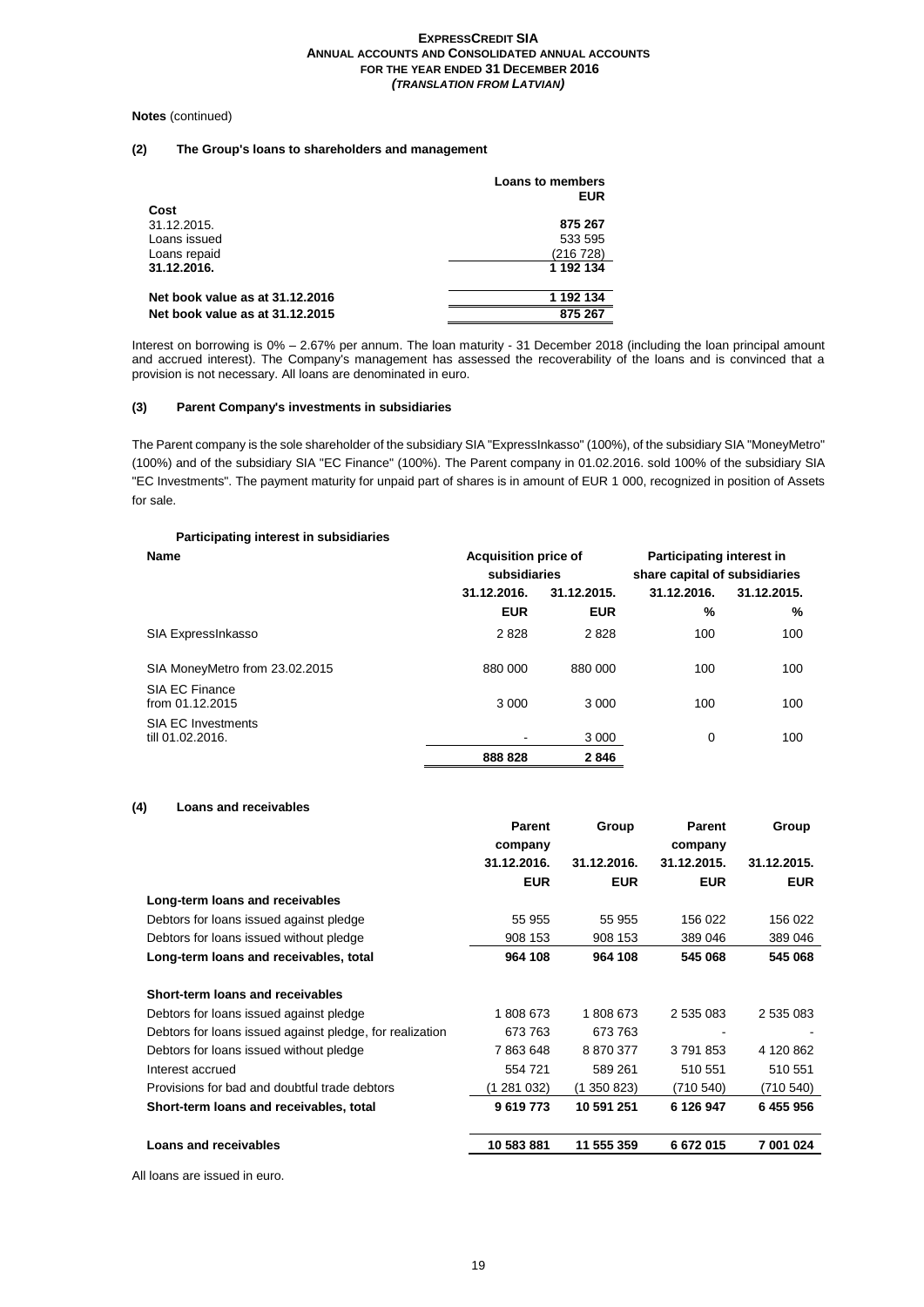#### **Notes** (continued)

# **(2) The Group's loans to shareholders and management**

|                                 | Loans to members<br><b>EUR</b> |
|---------------------------------|--------------------------------|
| Cost                            |                                |
| 31.12.2015.                     | 875 267                        |
| Loans issued                    | 533 595                        |
| Loans repaid                    | (216 728)                      |
| 31.12.2016.                     | 1 192 134                      |
| Net book value as at 31.12.2016 | 1 192 134                      |
| Net book value as at 31.12.2015 | 875 267                        |

Interest on borrowing is 0% – 2.67% per annum. The loan maturity - 31 December 2018 (including the loan principal amount and accrued interest). The Company's management has assessed the recoverability of the loans and is convinced that a provision is not necessary. All loans are denominated in euro.

## **(3) Parent Company's investments in subsidiaries**

The Parent company is the sole shareholder of the subsidiary SIA "ExpressInkasso" (100%), of the subsidiary SIA "MoneyMetro" (100%) and of the subsidiary SIA "EC Finance" (100%). The Parent company in 01.02.2016. sold 100% of the subsidiary SIA "EC Investments". The payment maturity for unpaid part of shares is in amount of EUR 1 000, recognized in position of Assets for sale.

# **Participating interest in subsidiaries**

| <b>Name</b>                                   | <b>Acquisition price of</b> |                               | <b>Participating interest in</b> |             |
|-----------------------------------------------|-----------------------------|-------------------------------|----------------------------------|-------------|
|                                               | subsidiaries                | share capital of subsidiaries |                                  |             |
|                                               | 31.12.2016.                 | 31.12.2015.                   | 31.12.2016.                      | 31.12.2015. |
|                                               | <b>EUR</b>                  | <b>EUR</b>                    | %                                | %           |
| SIA ExpressInkasso                            | 2828                        | 2828                          | 100                              | 100         |
| SIA MoneyMetro from 23.02.2015                | 880 000                     | 880 000                       | 100                              | 100         |
| SIA EC Finance<br>from $01.12.2015$           | 3 0 0 0                     | 3 0 0 0                       | 100                              | 100         |
| <b>SIA EC Investments</b><br>till 01.02.2016. |                             | 3 0 0 0                       | 0                                | 100         |
|                                               | 888 828                     | 2846                          |                                  |             |

# **(4) Loans and receivables**

|                                                          | <b>Parent</b> | Group       | <b>Parent</b> | Group       |
|----------------------------------------------------------|---------------|-------------|---------------|-------------|
|                                                          | company       |             | company       |             |
|                                                          | 31.12.2016.   | 31.12.2016. | 31.12.2015.   | 31.12.2015. |
|                                                          | <b>EUR</b>    | <b>EUR</b>  | <b>EUR</b>    | <b>EUR</b>  |
| Long-term loans and receivables                          |               |             |               |             |
| Debtors for loans issued against pledge                  | 55 955        | 55 955      | 156 022       | 156 022     |
| Debtors for loans issued without pledge                  | 908 153       | 908 153     | 389 046       | 389 046     |
| Long-term loans and receivables, total                   | 964 108       | 964 108     | 545 068       | 545 068     |
| Short-term loans and receivables                         |               |             |               |             |
| Debtors for loans issued against pledge                  | 1808673       | 1808673     | 2 535 083     | 2 535 083   |
| Debtors for loans issued against pledge, for realization | 673 763       | 673 763     |               |             |
| Debtors for loans issued without pledge                  | 7863648       | 8870377     | 3791853       | 4 120 862   |
| Interest accrued                                         | 554 721       | 589 261     | 510 551       | 510 551     |
| Provisions for bad and doubtful trade debtors            | (1 281 032)   | (1 350 823) | (710 540)     | (710 540)   |
| Short-term loans and receivables, total                  | 9619773       | 10 591 251  | 6 126 947     | 6455956     |
| Loans and receivables                                    | 10 583 881    | 11 555 359  | 6672015       | 7 001 024   |
|                                                          |               |             |               |             |

All loans are issued in euro.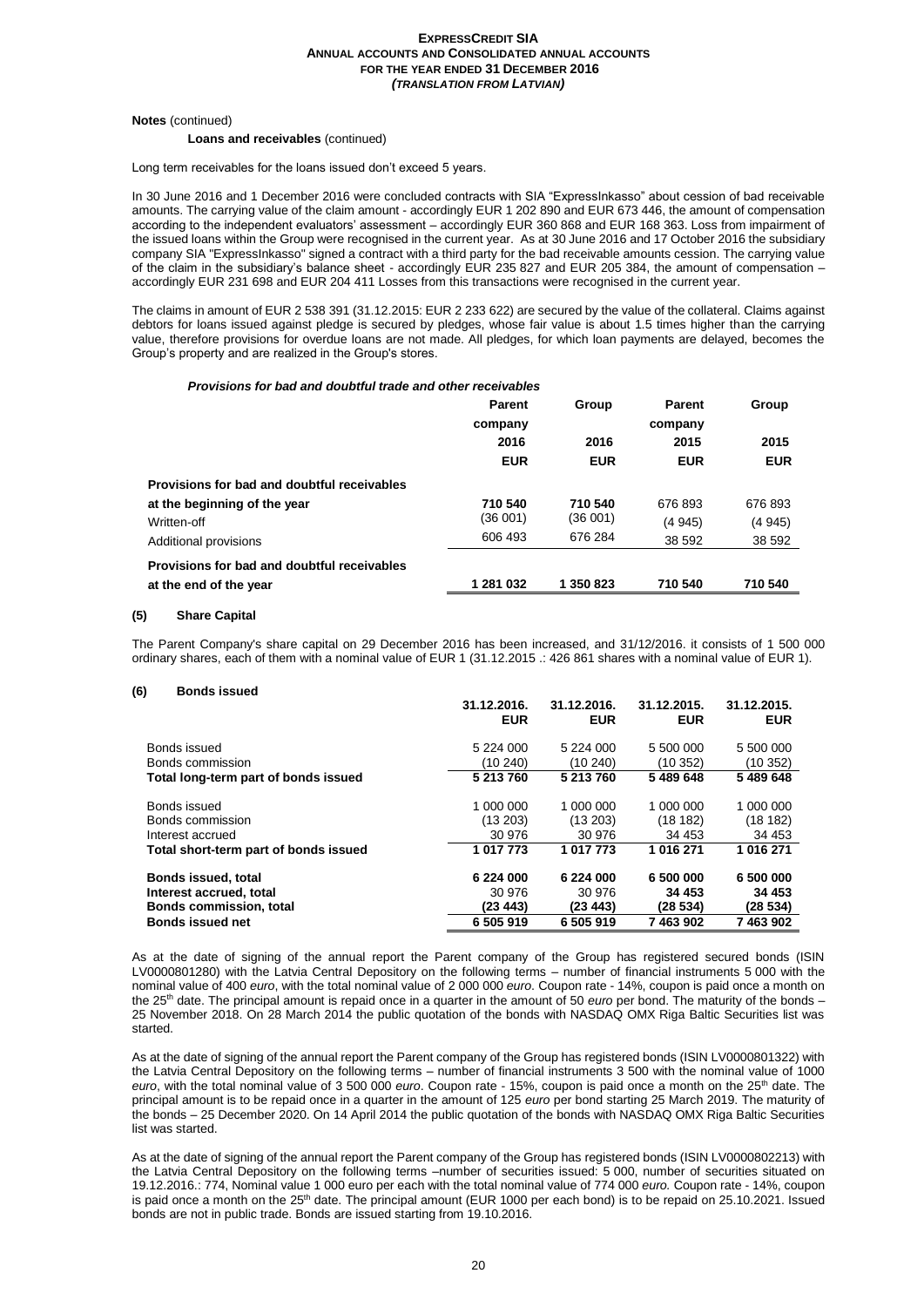**Notes** (continued)

#### **Loans and receivables** (continued)

Long term receivables for the loans issued don't exceed 5 years.

In 30 June 2016 and 1 December 2016 were concluded contracts with SIA "ExpressInkasso" about cession of bad receivable amounts. The carrying value of the claim amount - accordingly EUR 1 202 890 and EUR 673 446, the amount of compensation according to the independent evaluators' assessment – accordingly EUR 360 868 and EUR 168 363. Loss from impairment of the issued loans within the Group were recognised in the current year. As at 30 June 2016 and 17 October 2016 the subsidiary company SIA "ExpressInkasso" signed a contract with a third party for the bad receivable amounts cession. The carrying value of the claim in the subsidiary's balance sheet - accordingly EUR 235 827 and EUR 205 384, the amount of compensation – accordingly EUR 231 698 and EUR 204 411 Losses from this transactions were recognised in the current year.

The claims in amount of EUR 2 538 391 (31.12.2015: EUR 2 233 622) are secured by the value of the collateral. Claims against debtors for loans issued against pledge is secured by pledges, whose fair value is about 1.5 times higher than the carrying value, therefore provisions for overdue loans are not made. All pledges, for which loan payments are delayed, becomes the Group's property and are realized in the Group's stores.

#### *Provisions for bad and doubtful trade and other receivables*

| <b>Parent</b> | Group      | Parent     | Group      |
|---------------|------------|------------|------------|
| company       |            | company    |            |
| 2016          | 2016       | 2015       | 2015       |
| <b>EUR</b>    | <b>EUR</b> | <b>EUR</b> | <b>EUR</b> |
|               |            |            |            |
| 710 540       | 710 540    | 676893     | 676 893    |
| (36 001)      | (36 001)   | (4945)     | (4945)     |
| 606 493       | 676 284    | 38 592     | 38 592     |
|               |            |            |            |
| 1 281 032     | 1 350 823  | 710 540    | 710 540    |
|               |            |            |            |

#### **(5) Share Capital**

The Parent Company's share capital on 29 December 2016 has been increased, and 31/12/2016. it consists of 1 500 000 ordinary shares, each of them with a nominal value of EUR 1 (31.12.2015 .: 426 861 shares with a nominal value of EUR 1).

#### **(6) Bonds issued**

|                                       | 31.12.2016.<br><b>EUR</b> | 31.12.2016.<br><b>EUR</b> | 31.12.2015.<br><b>EUR</b> | 31.12.2015.<br><b>EUR</b> |
|---------------------------------------|---------------------------|---------------------------|---------------------------|---------------------------|
| Bonds issued                          | 5 2 2 4 0 0 0             | 5 224 000                 | 5 500 000                 | 5 500 000                 |
| Bonds commission                      | (10 240)                  | (10 240)                  | (10 352)                  | (10 352)                  |
| Total long-term part of bonds issued  | 5 213 760                 | 5 213 760                 | 5489648                   | 5 489 648                 |
| Bonds issued                          | 1 000 000                 | 1 000 000                 | 1 000 000                 | 1 000 000                 |
| Bonds commission                      | (13 203)                  | (13 203)                  | (18182)                   | (18182)                   |
| Interest accrued                      | 30 976                    | 30 976                    | 34 453                    | 34 453                    |
| Total short-term part of bonds issued | 1 017 773                 | 1 017 773                 | 1 016 271                 | 1 016 271                 |
| Bonds issued, total                   | 6 224 000                 | 6 224 000                 | 6 500 000                 | 6 500 000                 |
| Interest accrued, total               | 30 976                    | 30 976                    | 34 453                    | 34 453                    |
| <b>Bonds commission, total</b>        | (23443)                   | (23 443)                  | (28534)                   | (28 534)                  |
| <b>Bonds issued net</b>               | 6 505 919                 | 6 505 919                 | 7463902                   | 7463902                   |

As at the date of signing of the annual report the Parent company of the Group has registered secured bonds (ISIN LV0000801280) with the Latvia Central Depository on the following terms – number of financial instruments 5 000 with the nominal value of 400 *euro*, with the total nominal value of 2 000 000 *euro*. Coupon rate - 14%, coupon is paid once a month on the 25<sup>th</sup> date. The principal amount is repaid once in a quarter in the amount of 50 *euro* per bond. The maturity of the bonds – 25 November 2018. On 28 March 2014 the public quotation of the bonds with NASDAQ OMX Riga Baltic Securities list was started.

As at the date of signing of the annual report the Parent company of the Group has registered bonds (ISIN LV0000801322) with the Latvia Central Depository on the following terms – number of financial instruments 3 500 with the nominal value of 1000 euro, with the total nominal value of 3 500 000 *euro*. Coupon rate - 15%, coupon is paid once a month on the 25<sup>th</sup> date. The principal amount is to be repaid once in a quarter in the amount of 125 *euro* per bond starting 25 March 2019. The maturity of the bonds – 25 December 2020. On 14 April 2014 the public quotation of the bonds with NASDAQ OMX Riga Baltic Securities list was started.

As at the date of signing of the annual report the Parent company of the Group has registered bonds (ISIN LV0000802213) with the Latvia Central Depository on the following terms –number of securities issued: 5 000, number of securities situated on 19.12.2016.: 774, Nominal value 1 000 euro per each with the total nominal value of 774 000 *euro.* Coupon rate - 14%, coupon is paid once a month on the 25<sup>th</sup> date. The principal amount (EUR 1000 per each bond) is to be repaid on 25.10.2021. Issued bonds are not in public trade. Bonds are issued starting from 19.10.2016.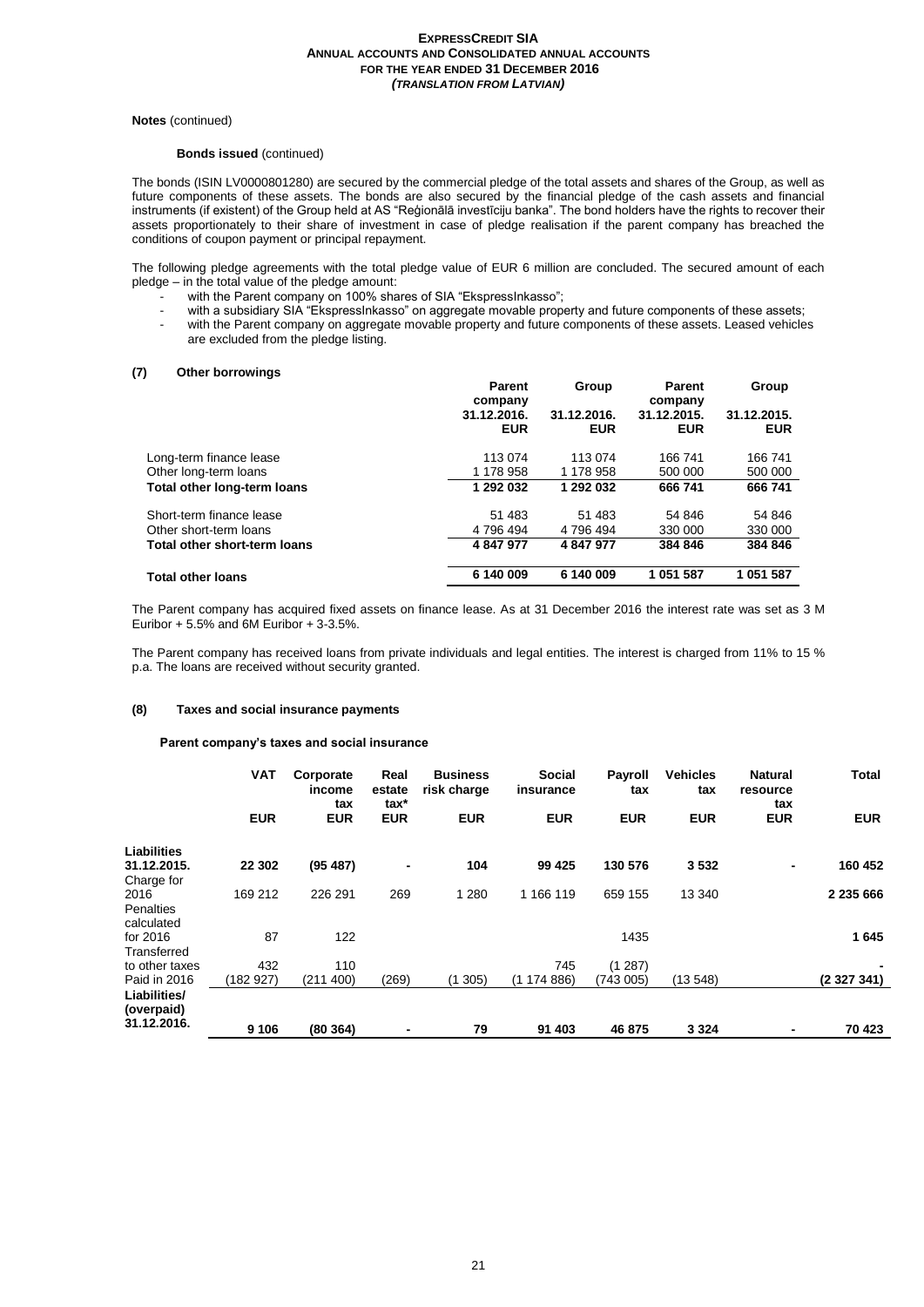#### **Notes** (continued)

## **Bonds issued** (continued)

The bonds (ISIN LV0000801280) are secured by the commercial pledge of the total assets and shares of the Group, as well as future components of these assets. The bonds are also secured by the financial pledge of the cash assets and financial instruments (if existent) of the Group held at AS "Reģionālā investīciju banka". The bond holders have the rights to recover their assets proportionately to their share of investment in case of pledge realisation if the parent company has breached the conditions of coupon payment or principal repayment.

The following pledge agreements with the total pledge value of EUR 6 million are concluded. The secured amount of each pledge – in the total value of the pledge amount:

- with the Parent company on 100% shares of SIA "EkspressInkasso";
- with a subsidiary SIA "EkspressInkasso" on aggregate movable property and future components of these assets; - with the Parent company on aggregate movable property and future components of these assets. Leased vehicles are excluded from the pledge listing.

# **(7) Other borrowings**

|                              | <b>Parent</b><br>company | Group       | <b>Parent</b><br>company | Group       |
|------------------------------|--------------------------|-------------|--------------------------|-------------|
|                              | 31.12.2016.              | 31.12.2016. | 31.12.2015.              | 31.12.2015. |
|                              | <b>EUR</b>               | <b>EUR</b>  | <b>EUR</b>               | <b>EUR</b>  |
| Long-term finance lease      | 113 074                  | 113 074     | 166 741                  | 166 741     |
| Other long-term loans        | 1 178 958                | 1 178 958   | 500 000                  | 500 000     |
| Total other long-term loans  | 1 292 032                | 1 292 032   | 666 741                  | 666 741     |
| Short-term finance lease     | 51 483                   | 51 483      | 54 846                   | 54 846      |
| Other short-term loans       | 4 796 494                | 4 796 494   | 330 000                  | 330 000     |
| Total other short-term loans | 4 847 977                | 4 847 977   | 384 846                  | 384 846     |
| <b>Total other loans</b>     | 6 140 009                | 6 140 009   | 1 051 587                | 1 051 587   |
|                              |                          |             |                          |             |

The Parent company has acquired fixed assets on finance lease. As at 31 December 2016 the interest rate was set as 3 M Euribor  $+5.5\%$  and 6M Euribor  $+3.5\%$ .

The Parent company has received loans from private individuals and legal entities. The interest is charged from 11% to 15 % p.a. The loans are received without security granted.

#### **(8) Taxes and social insurance payments**

#### **Parent company's taxes and social insurance**

|                            | <b>VAT</b> | Corporate<br>income<br>tax | Real<br>estate<br>tax* | <b>Business</b><br>risk charge | <b>Social</b><br>insurance | <b>Payroll</b><br>tax | <b>Vehicles</b><br>tax | <b>Natural</b><br>resource<br>tax | <b>Total</b>     |
|----------------------------|------------|----------------------------|------------------------|--------------------------------|----------------------------|-----------------------|------------------------|-----------------------------------|------------------|
|                            | <b>EUR</b> | <b>EUR</b>                 | <b>EUR</b>             | <b>EUR</b>                     | <b>EUR</b>                 | <b>EUR</b>            | <b>EUR</b>             | <b>EUR</b>                        | <b>EUR</b>       |
| <b>Liabilities</b>         |            |                            |                        |                                |                            |                       |                        |                                   |                  |
| 31.12.2015.                | 22 302     | (95, 487)                  |                        | 104                            | 99 4 25                    | 130 576               | 3532                   | ٠                                 | 160 452          |
| Charge for                 |            |                            |                        |                                |                            |                       |                        |                                   |                  |
| 2016                       | 169 212    | 226 291                    | 269                    | 1 2 8 0                        | 1 166 119                  | 659 155               | 13 340                 |                                   | 2 235 666        |
| <b>Penalties</b>           |            |                            |                        |                                |                            |                       |                        |                                   |                  |
| calculated                 |            |                            |                        |                                |                            |                       |                        |                                   |                  |
| for 2016                   | 87         | 122                        |                        |                                |                            | 1435                  |                        |                                   | 1645             |
| Transferred                |            |                            |                        |                                |                            |                       |                        |                                   |                  |
| to other taxes             | 432        | 110                        |                        |                                | 745                        | (1287)                |                        |                                   |                  |
| Paid in 2016               | (182927)   | (211 400)                  | (269)                  | (1305)                         | (1174886)                  | (743 005)             | (13548)                |                                   | (2 3 2 7 3 4 1 ) |
| Liabilities/<br>(overpaid) |            |                            |                        |                                |                            |                       |                        |                                   |                  |
| 31.12.2016.                | 9 10 6     | (80364)                    |                        | 79                             | 91 403                     | 46 875                | 3 3 2 4                | $\blacksquare$                    | 70 423           |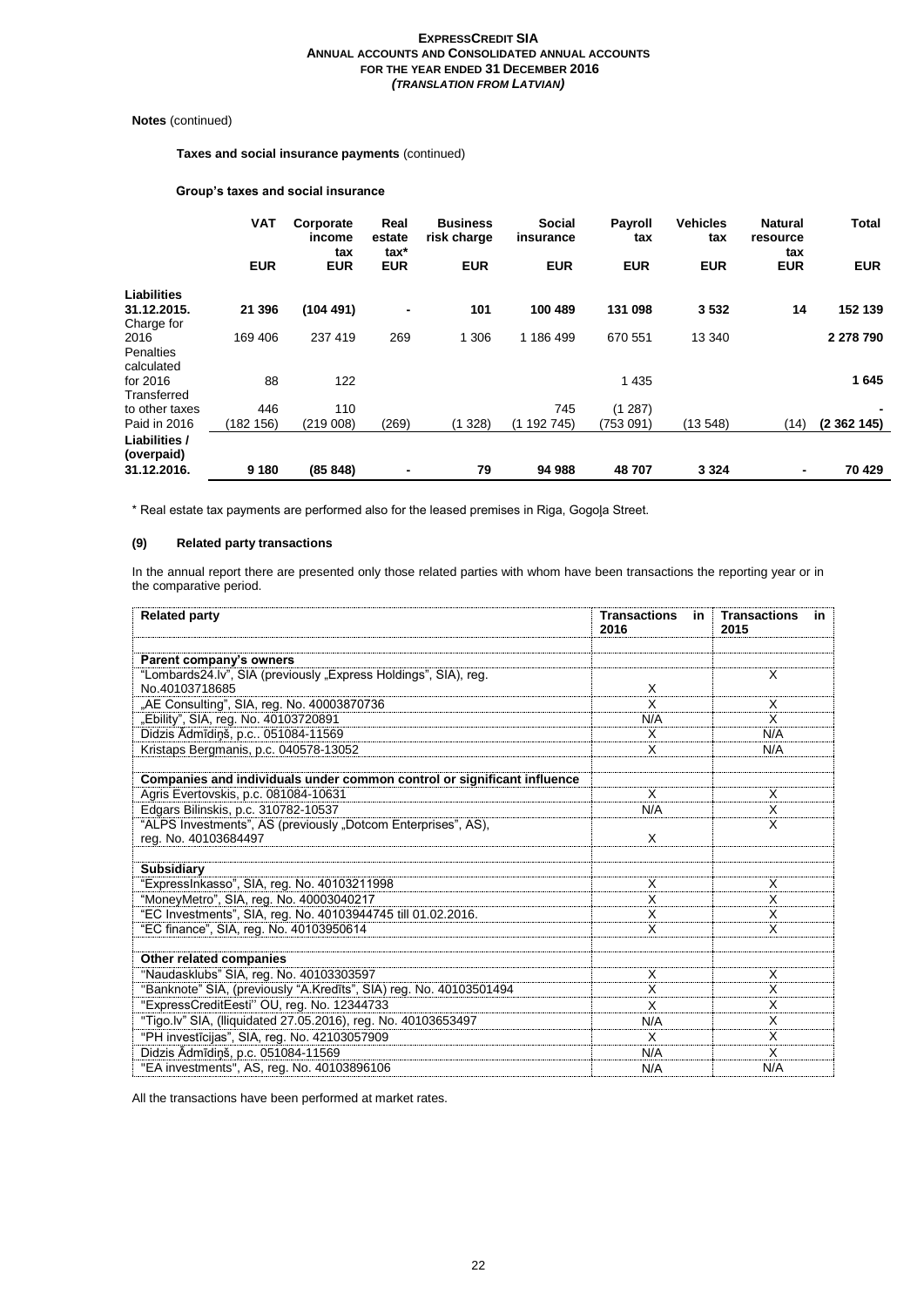# **Notes** (continued)

**Taxes and social insurance payments** (continued)

#### **Group's taxes and social insurance**

|                                    | <b>VAT</b> | Corporate<br>income<br>tax | Real<br>estate<br>tax* | <b>Business</b><br>risk charge | <b>Social</b><br>insurance | <b>Payroll</b><br>tax | <b>Vehicles</b><br>tax | <b>Natural</b><br>resource<br>tax | <b>Total</b> |
|------------------------------------|------------|----------------------------|------------------------|--------------------------------|----------------------------|-----------------------|------------------------|-----------------------------------|--------------|
|                                    | <b>EUR</b> | <b>EUR</b>                 | <b>EUR</b>             | <b>EUR</b>                     | <b>EUR</b>                 | <b>EUR</b>            | <b>EUR</b>             | <b>EUR</b>                        | <b>EUR</b>   |
| <b>Liabilities</b>                 |            |                            |                        |                                |                            |                       |                        |                                   |              |
| 31.12.2015.                        | 21 396     | (104491)                   | $\blacksquare$         | 101                            | 100 489                    | 131 098               | 3532                   | 14                                | 152 139      |
| Charge for                         |            |                            |                        |                                |                            |                       |                        |                                   |              |
| 2016                               | 169 406    | 237 419                    | 269                    | 1 306                          | 1 186 499                  | 670 551               | 13 340                 |                                   | 2 278 790    |
| Penalties<br>calculated            |            |                            |                        |                                |                            |                       |                        |                                   |              |
| for 2016                           | 88         | 122                        |                        |                                |                            | 1 4 3 5               |                        |                                   | 1645         |
| Transferred                        |            |                            |                        |                                |                            |                       |                        |                                   |              |
| to other taxes                     | 446        | 110                        |                        |                                | 745                        | (1287)                |                        |                                   |              |
| Paid in 2016                       | (182 156)  | (219008)                   | (269)                  | 328)<br>(1                     | (1192745)                  | (753 091)             | (13548)                | (14)                              | (2362145)    |
| <b>Liabilities /</b><br>(overpaid) |            |                            |                        |                                |                            |                       |                        |                                   |              |
| 31.12.2016.                        | 9 1 8 0    | (85848)                    |                        | 79                             | 94 988                     | 48707                 | 3 3 2 4                | $\blacksquare$                    | 70 429       |

\* Real estate tax payments are performed also for the leased premises in Riga, Gogoļa Street.

#### **(9) Related party transactions**

In the annual report there are presented only those related parties with whom have been transactions the reporting year or in the comparative period.

| <b>Related party</b>                                                    | <b>Transactions</b><br>in<br>2016 | <b>Transactions</b><br>in<br>2015 |
|-------------------------------------------------------------------------|-----------------------------------|-----------------------------------|
|                                                                         |                                   |                                   |
| Parent company's owners                                                 |                                   |                                   |
| "Lombards24.lv", SIA (previously "Express Holdings", SIA), reg.         |                                   | X                                 |
| No.40103718685                                                          | X                                 |                                   |
| "AE Consulting", SIA, reg. No. 40003870736                              | X                                 | X                                 |
| "Ebility", SIA, reg. No. 40103720891                                    | N/A                               | $\overline{\mathsf{x}}$           |
| Didzis Ādmīdiņš, p.c 051084-11569                                       | X                                 | N/A                               |
| Kristaps Bergmanis, p.c. 040578-13052                                   | X                                 | N/A                               |
| Companies and individuals under common control or significant influence |                                   |                                   |
| Agris Evertovskis, p.c. 081084-10631                                    | X                                 | X                                 |
| Edgars Bilinskis, p.c. 310782-10537                                     | N/A                               | X                                 |
| "ALPS Investments", AS (previously "Dotcom Enterprises", AS),           |                                   | X                                 |
| reg. No. 40103684497                                                    | X                                 |                                   |
|                                                                         |                                   |                                   |
| <b>Subsidiary</b>                                                       |                                   |                                   |
| "ExpressInkasso", SIA, reg. No. 40103211998                             | X                                 | X                                 |
| "MoneyMetro", SIA, reg. No. 40003040217                                 | X                                 | X                                 |
| "EC Investments", SIA, reg. No. 40103944745 till 01.02.2016.            | X                                 | X                                 |
| "EC finance", SIA, reg. No. 40103950614                                 | X                                 | X                                 |
| Other related companies                                                 |                                   |                                   |
| "Naudasklubs" SIA, reg. No. 40103303597                                 | X                                 | X                                 |
| "Banknote" SIA, (previously "A.Kredīts", SIA) reg. No. 40103501494      | X                                 | X                                 |
| "ExpressCreditEesti" OU, reg. No. 12344733                              | X                                 | X                                 |
| "Tigo.lv" SIA, (Iliquidated 27.05.2016), reg. No. 40103653497           | N/A                               | X                                 |
| "PH investīcijas", SIA, reg. No. 42103057909                            | X                                 | X                                 |
| Didzis Ādmīdiņš, p.c. 051084-11569                                      | N/A                               | X                                 |
| "EA investments", AS, reg. No. 40103896106                              | N/A                               | N/A                               |

All the transactions have been performed at market rates.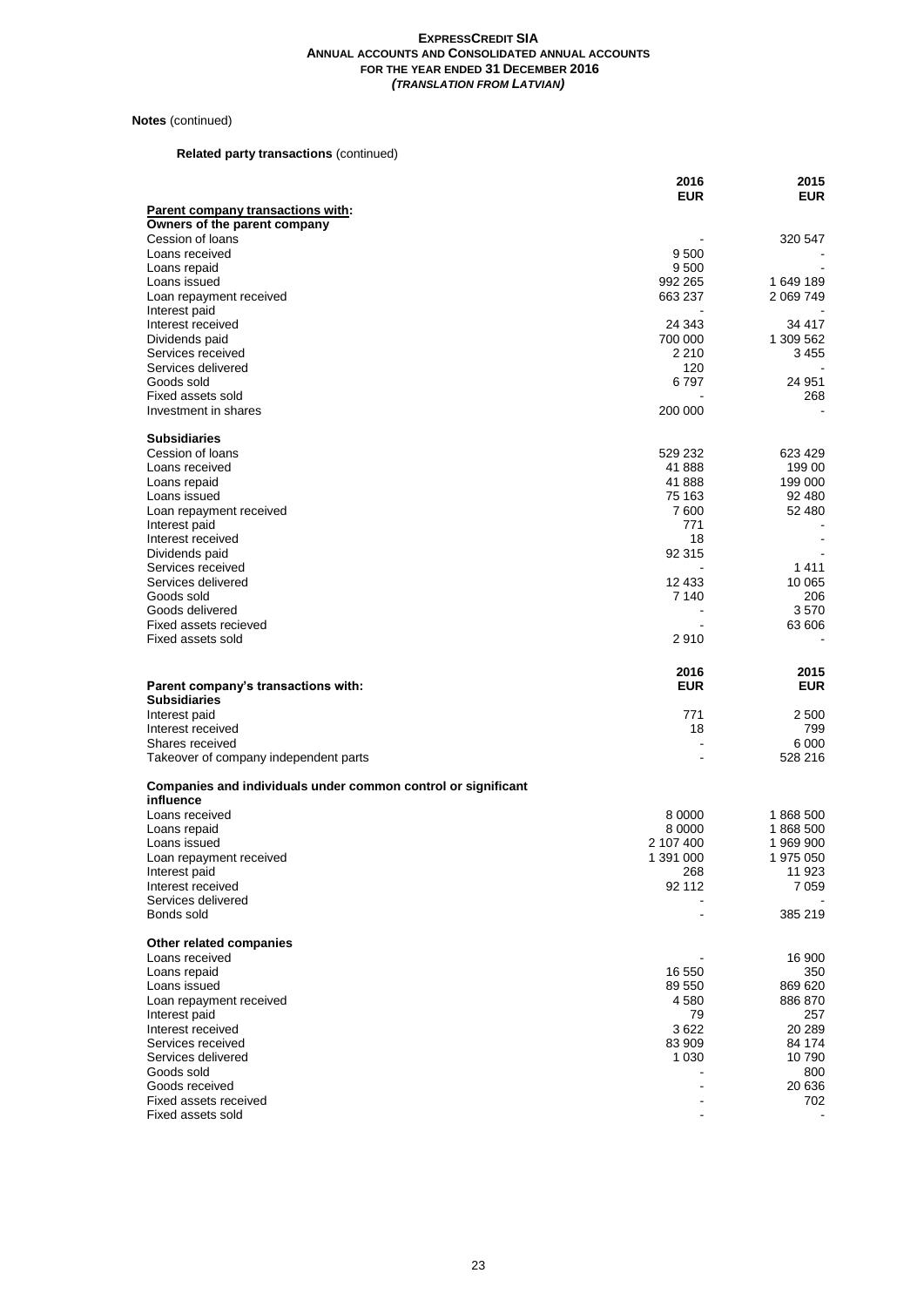# **Notes** (continued)

# **Related party transactions** (continued)

|                                                                            | 2016<br><b>EUR</b>   | 2015<br><b>EUR</b>       |
|----------------------------------------------------------------------------|----------------------|--------------------------|
| <b>Parent company transactions with:</b>                                   |                      |                          |
| Owners of the parent company                                               |                      |                          |
| Cession of loans                                                           |                      | 320 547                  |
| Loans received                                                             | 9 500                |                          |
| Loans repaid<br>Loans issued                                               | 9 500<br>992 265     | 1 649 189                |
| Loan repayment received                                                    | 663 237              | 2 069 749                |
| Interest paid                                                              |                      |                          |
| Interest received                                                          | 24 343               | 34 417                   |
| Dividends paid                                                             | 700 000<br>2 2 1 0   | 1 309 562                |
| Services received<br>Services delivered                                    | 120                  | 3 455                    |
| Goods sold                                                                 | 6 797                | 24 951                   |
| Fixed assets sold                                                          |                      | 268                      |
| Investment in shares                                                       | 200 000              |                          |
| <b>Subsidiaries</b>                                                        |                      |                          |
| Cession of loans                                                           | 529 232              | 623 429                  |
| Loans received                                                             | 41 888               | 199 00                   |
| Loans repaid                                                               | 41 888               | 199 000                  |
| Loans issued                                                               | 75 163               | 92 480                   |
| Loan repayment received                                                    | 7 600                | 52 480                   |
| Interest paid                                                              | 771                  |                          |
| Interest received<br>Dividends paid                                        | 18<br>92 315         | $\overline{\phantom{a}}$ |
| Services received                                                          |                      | 1411                     |
| Services delivered                                                         | 12 433               | 10 065                   |
| Goods sold                                                                 | 7 140                | 206                      |
| Goods delivered                                                            |                      | 3570                     |
| Fixed assets recieved                                                      |                      | 63 606                   |
| Fixed assets sold                                                          | 2910                 |                          |
|                                                                            |                      |                          |
|                                                                            | 2016                 | 2015                     |
| Parent company's transactions with:                                        | <b>EUR</b>           | <b>EUR</b>               |
| <b>Subsidiaries</b>                                                        |                      |                          |
| Interest paid                                                              | 771                  | 2 500                    |
| Interest received                                                          | 18<br>$\blacksquare$ | 799                      |
| Shares received<br>Takeover of company independent parts                   |                      | 6 000<br>528 216         |
|                                                                            |                      |                          |
| Companies and individuals under common control or significant<br>influence |                      |                          |
| Loans received                                                             | 8 0000               | 1868 500                 |
| Loans repaid                                                               | 8 0000               | 1868 500                 |
| Loans issued                                                               | 2 107 400            | 1969900                  |
| Loan repayment received                                                    | 1 391 000            | 1 975 050                |
| Interest paid                                                              | 268                  | 11 923                   |
| Interest received                                                          | 92 112               | 7 0 5 9                  |
| Services delivered<br>Bonds sold                                           |                      | 385 219                  |
|                                                                            |                      |                          |
| Other related companies                                                    |                      |                          |
| Loans received<br>Loans repaid                                             |                      | 16 900                   |
| Loans issued                                                               | 16 550<br>89 550     | 350<br>869 620           |
| Loan repayment received                                                    | 4 580                | 886 870                  |
| Interest paid                                                              | 79                   | 257                      |
| Interest received                                                          | 3622                 | 20 289                   |
| Services received                                                          | 83 909               | 84 174                   |
| Services delivered<br>Goods sold                                           | 1 0 3 0              | 10 790<br>800            |
| Goods received                                                             |                      | 20 636                   |
| Fixed assets received<br>Fixed assets sold                                 |                      | 702                      |